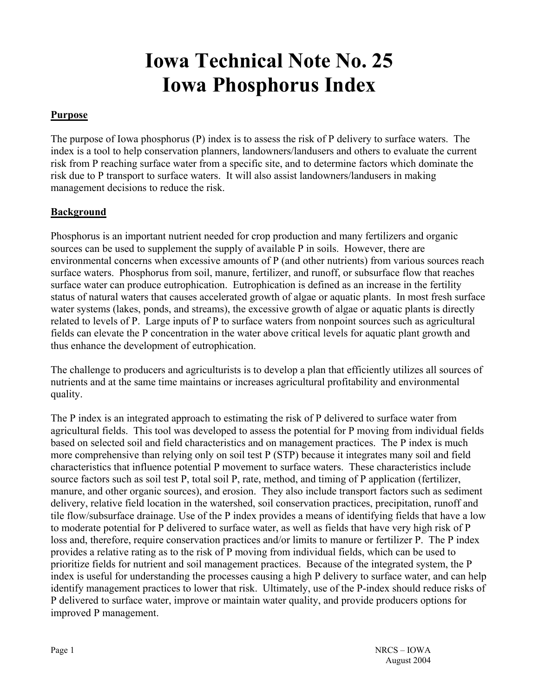# **Iowa Technical Note No. 25 Iowa Phosphorus Index**

### **Purpose**

The purpose of Iowa phosphorus (P) index is to assess the risk of P delivery to surface waters. The index is a tool to help conservation planners, landowners/landusers and others to evaluate the current risk from P reaching surface water from a specific site, and to determine factors which dominate the risk due to P transport to surface waters. It will also assist landowners/landusers in making management decisions to reduce the risk.

#### **Background**

Phosphorus is an important nutrient needed for crop production and many fertilizers and organic sources can be used to supplement the supply of available P in soils. However, there are environmental concerns when excessive amounts of P (and other nutrients) from various sources reach surface waters. Phosphorus from soil, manure, fertilizer, and runoff, or subsurface flow that reaches surface water can produce eutrophication. Eutrophication is defined as an increase in the fertility status of natural waters that causes accelerated growth of algae or aquatic plants. In most fresh surface water systems (lakes, ponds, and streams), the excessive growth of algae or aquatic plants is directly related to levels of P. Large inputs of P to surface waters from nonpoint sources such as agricultural fields can elevate the P concentration in the water above critical levels for aquatic plant growth and thus enhance the development of eutrophication.

The challenge to producers and agriculturists is to develop a plan that efficiently utilizes all sources of nutrients and at the same time maintains or increases agricultural profitability and environmental quality.

The P index is an integrated approach to estimating the risk of P delivered to surface water from agricultural fields. This tool was developed to assess the potential for P moving from individual fields based on selected soil and field characteristics and on management practices. The P index is much more comprehensive than relying only on soil test P (STP) because it integrates many soil and field characteristics that influence potential P movement to surface waters. These characteristics include source factors such as soil test P, total soil P, rate, method, and timing of P application (fertilizer, manure, and other organic sources), and erosion. They also include transport factors such as sediment delivery, relative field location in the watershed, soil conservation practices, precipitation, runoff and tile flow/subsurface drainage. Use of the P index provides a means of identifying fields that have a low to moderate potential for P delivered to surface water, as well as fields that have very high risk of P loss and, therefore, require conservation practices and/or limits to manure or fertilizer P. The P index provides a relative rating as to the risk of P moving from individual fields, which can be used to prioritize fields for nutrient and soil management practices. Because of the integrated system, the P index is useful for understanding the processes causing a high P delivery to surface water, and can help identify management practices to lower that risk. Ultimately, use of the P-index should reduce risks of P delivered to surface water, improve or maintain water quality, and provide producers options for improved P management.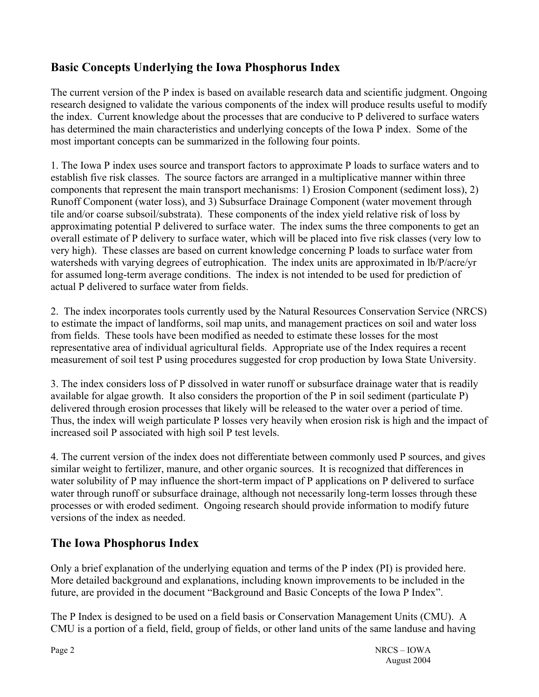### **Basic Concepts Underlying the Iowa Phosphorus Index**

The current version of the P index is based on available research data and scientific judgment. Ongoing research designed to validate the various components of the index will produce results useful to modify the index. Current knowledge about the processes that are conducive to P delivered to surface waters has determined the main characteristics and underlying concepts of the Iowa P index. Some of the most important concepts can be summarized in the following four points.

1. The Iowa P index uses source and transport factors to approximate P loads to surface waters and to establish five risk classes. The source factors are arranged in a multiplicative manner within three components that represent the main transport mechanisms: 1) Erosion Component (sediment loss), 2) Runoff Component (water loss), and 3) Subsurface Drainage Component (water movement through tile and/or coarse subsoil/substrata). These components of the index yield relative risk of loss by approximating potential P delivered to surface water. The index sums the three components to get an overall estimate of P delivery to surface water, which will be placed into five risk classes (very low to very high). These classes are based on current knowledge concerning P loads to surface water from watersheds with varying degrees of eutrophication. The index units are approximated in lb/P/acre/yr for assumed long-term average conditions. The index is not intended to be used for prediction of actual P delivered to surface water from fields.

2. The index incorporates tools currently used by the Natural Resources Conservation Service (NRCS) to estimate the impact of landforms, soil map units, and management practices on soil and water loss from fields. These tools have been modified as needed to estimate these losses for the most representative area of individual agricultural fields. Appropriate use of the Index requires a recent measurement of soil test P using procedures suggested for crop production by Iowa State University.

3. The index considers loss of P dissolved in water runoff or subsurface drainage water that is readily available for algae growth. It also considers the proportion of the P in soil sediment (particulate P) delivered through erosion processes that likely will be released to the water over a period of time. Thus, the index will weigh particulate P losses very heavily when erosion risk is high and the impact of increased soil P associated with high soil P test levels.

4. The current version of the index does not differentiate between commonly used P sources, and gives similar weight to fertilizer, manure, and other organic sources. It is recognized that differences in water solubility of P may influence the short-term impact of P applications on P delivered to surface water through runoff or subsurface drainage, although not necessarily long-term losses through these processes or with eroded sediment. Ongoing research should provide information to modify future versions of the index as needed.

### **The Iowa Phosphorus Index**

Only a brief explanation of the underlying equation and terms of the P index (PI) is provided here. More detailed background and explanations, including known improvements to be included in the future, are provided in the document "Background and Basic Concepts of the Iowa P Index".

The P Index is designed to be used on a field basis or Conservation Management Units (CMU). A CMU is a portion of a field, field, group of fields, or other land units of the same landuse and having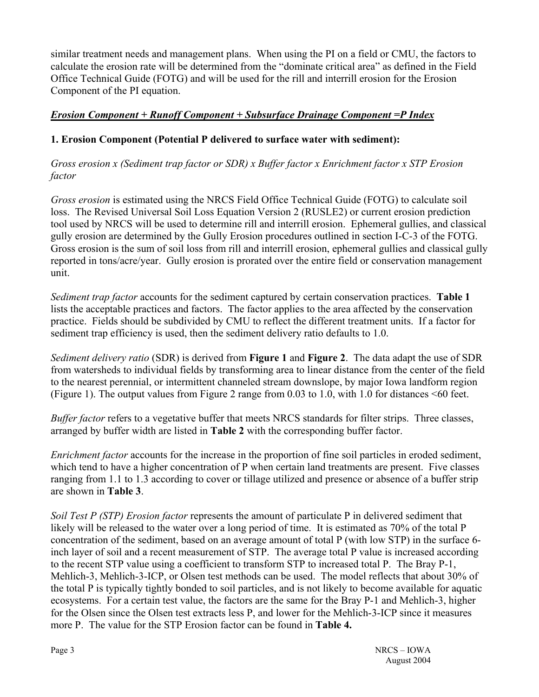similar treatment needs and management plans. When using the PI on a field or CMU, the factors to calculate the erosion rate will be determined from the "dominate critical area" as defined in the Field Office Technical Guide (FOTG) and will be used for the rill and interrill erosion for the Erosion Component of the PI equation.

### *Erosion Component + Runoff Component + Subsurface Drainage Component =P Index*

### **1. Erosion Component (Potential P delivered to surface water with sediment):**

*Gross erosion x (Sediment trap factor or SDR) x Buffer factor x Enrichment factor x STP Erosion factor* 

*Gross erosion* is estimated using the NRCS Field Office Technical Guide (FOTG) to calculate soil loss. The Revised Universal Soil Loss Equation Version 2 (RUSLE2) or current erosion prediction tool used by NRCS will be used to determine rill and interrill erosion. Ephemeral gullies, and classical gully erosion are determined by the Gully Erosion procedures outlined in section I-C-3 of the FOTG. Gross erosion is the sum of soil loss from rill and interrill erosion, ephemeral gullies and classical gully reported in tons/acre/year. Gully erosion is prorated over the entire field or conservation management unit.

*Sediment trap factor* accounts for the sediment captured by certain conservation practices. **Table 1** lists the acceptable practices and factors. The factor applies to the area affected by the conservation practice. Fields should be subdivided by CMU to reflect the different treatment units. If a factor for sediment trap efficiency is used, then the sediment delivery ratio defaults to 1.0.

*Sediment delivery ratio* (SDR) is derived from **Figure 1** and **Figure 2**. The data adapt the use of SDR from watersheds to individual fields by transforming area to linear distance from the center of the field to the nearest perennial, or intermittent channeled stream downslope, by major Iowa landform region (Figure 1). The output values from Figure 2 range from 0.03 to 1.0, with 1.0 for distances <60 feet.

*Buffer factor* refers to a vegetative buffer that meets NRCS standards for filter strips. Three classes, arranged by buffer width are listed in **Table 2** with the corresponding buffer factor.

*Enrichment factor* accounts for the increase in the proportion of fine soil particles in eroded sediment, which tend to have a higher concentration of P when certain land treatments are present. Five classes ranging from 1.1 to 1.3 according to cover or tillage utilized and presence or absence of a buffer strip are shown in **Table 3**.

*Soil Test P (STP) Erosion factor* represents the amount of particulate P in delivered sediment that likely will be released to the water over a long period of time. It is estimated as 70% of the total P concentration of the sediment, based on an average amount of total P (with low STP) in the surface 6 inch layer of soil and a recent measurement of STP. The average total P value is increased according to the recent STP value using a coefficient to transform STP to increased total P. The Bray P-1, Mehlich-3, Mehlich-3-ICP, or Olsen test methods can be used. The model reflects that about 30% of the total P is typically tightly bonded to soil particles, and is not likely to become available for aquatic ecosystems. For a certain test value, the factors are the same for the Bray P-1 and Mehlich-3, higher for the Olsen since the Olsen test extracts less P, and lower for the Mehlich-3-ICP since it measures more P. The value for the STP Erosion factor can be found in **Table 4.**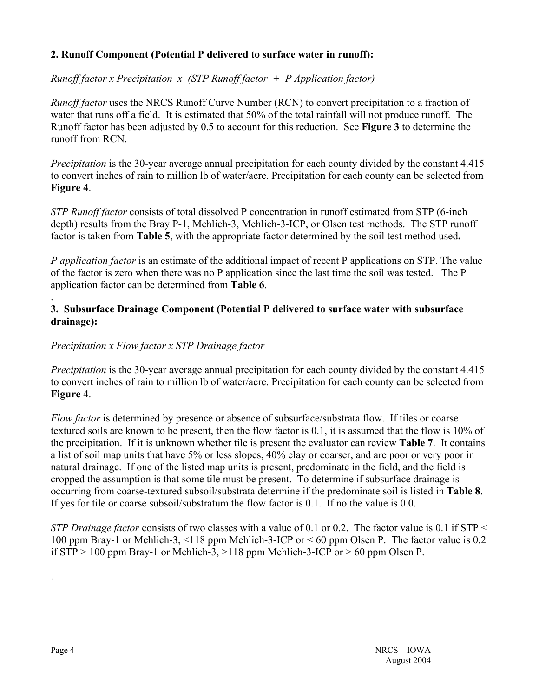### **2. Runoff Component (Potential P delivered to surface water in runoff):**

*Runoff factor x Precipitation x (STP Runoff factor + P Application factor)*

*Runoff factor* uses the NRCS Runoff Curve Number (RCN) to convert precipitation to a fraction of water that runs off a field. It is estimated that 50% of the total rainfall will not produce runoff. The Runoff factor has been adjusted by 0.5 to account for this reduction. See **Figure 3** to determine the runoff from RCN.

*Precipitation* is the 30-year average annual precipitation for each county divided by the constant 4.415 to convert inches of rain to million lb of water/acre. Precipitation for each county can be selected from **Figure 4**.

*STP Runoff factor* consists of total dissolved P concentration in runoff estimated from STP (6-inch depth) results from the Bray P-1, Mehlich-3, Mehlich-3-ICP, or Olsen test methods. The STP runoff factor is taken from **Table 5**, with the appropriate factor determined by the soil test method used**.** 

*P application factor* is an estimate of the additional impact of recent P applications on STP. The value of the factor is zero when there was no P application since the last time the soil was tested. The P application factor can be determined from **Table 6**.

### **3. Subsurface Drainage Component (Potential P delivered to surface water with subsurface drainage):**

### *Precipitation x Flow factor x STP Drainage factor*

*Precipitation* is the 30-year average annual precipitation for each county divided by the constant 4.415 to convert inches of rain to million lb of water/acre. Precipitation for each county can be selected from **Figure 4**.

*Flow factor* is determined by presence or absence of subsurface/substrata flow. If tiles or coarse textured soils are known to be present, then the flow factor is 0.1, it is assumed that the flow is 10% of the precipitation. If it is unknown whether tile is present the evaluator can review **Table 7**. It contains a list of soil map units that have 5% or less slopes, 40% clay or coarser, and are poor or very poor in natural drainage. If one of the listed map units is present, predominate in the field, and the field is cropped the assumption is that some tile must be present. To determine if subsurface drainage is occurring from coarse-textured subsoil/substrata determine if the predominate soil is listed in **Table 8**. If yes for tile or coarse subsoil/substratum the flow factor is 0.1. If no the value is 0.0.

*STP Drainage factor* consists of two classes with a value of 0.1 or 0.2. The factor value is 0.1 if STP < 100 ppm Bray-1 or Mehlich-3, <118 ppm Mehlich-3-ICP or < 60 ppm Olsen P. The factor value is 0.2 if  $STP > 100$  ppm Bray-1 or Mehlich-3,  $>118$  ppm Mehlich-3-ICP or  $> 60$  ppm Olsen P.

.

.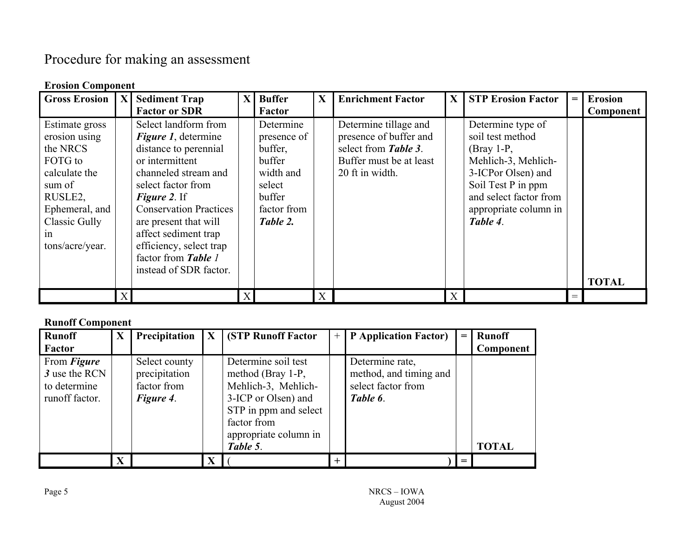# Procedure for making an assessment

| <b>Erosion Component</b>                                                                                                                                        |                |                                                                                                                                                                                                                                                                                                          |              |                                                                                                           |   |                                                                                                                       |              |                                                                                                                                                                                         |       |                |
|-----------------------------------------------------------------------------------------------------------------------------------------------------------------|----------------|----------------------------------------------------------------------------------------------------------------------------------------------------------------------------------------------------------------------------------------------------------------------------------------------------------|--------------|-----------------------------------------------------------------------------------------------------------|---|-----------------------------------------------------------------------------------------------------------------------|--------------|-----------------------------------------------------------------------------------------------------------------------------------------------------------------------------------------|-------|----------------|
| <b>Gross Erosion</b>                                                                                                                                            | $ \mathbf{X} $ | <b>Sediment Trap</b>                                                                                                                                                                                                                                                                                     | $\mathbf{X}$ | <b>Buffer</b>                                                                                             | X | <b>Enrichment Factor</b>                                                                                              | $\mathbf{X}$ | <b>STP Erosion Factor</b>                                                                                                                                                               | $= 1$ | <b>Erosion</b> |
|                                                                                                                                                                 |                | <b>Factor or SDR</b>                                                                                                                                                                                                                                                                                     |              | Factor                                                                                                    |   |                                                                                                                       |              |                                                                                                                                                                                         |       | Component      |
| Estimate gross<br>erosion using<br>the NRCS<br>FOTG to<br>calculate the<br>sum of<br>RUSLE2,<br>Ephemeral, and<br><b>Classic Gully</b><br>1n<br>tons/acre/year. |                | Select landform from<br><i>Figure 1</i> , determine<br>distance to perennial<br>or intermittent<br>channeled stream and<br>select factor from<br><b>Figure 2.</b> If<br><b>Conservation Practices</b><br>are present that will<br>affect sediment trap<br>efficiency, select trap<br>factor from Table 1 |              | Determine<br>presence of<br>buffer,<br>buffer<br>width and<br>select<br>buffer<br>factor from<br>Table 2. |   | Determine tillage and<br>presence of buffer and<br>select from Table 3.<br>Buffer must be at least<br>20 ft in width. |              | Determine type of<br>soil test method<br>$(Bray 1-P,$<br>Mehlich-3, Mehlich-<br>3-ICPor Olsen) and<br>Soil Test P in ppm<br>and select factor from<br>appropriate column in<br>Table 4. |       |                |
|                                                                                                                                                                 |                | instead of SDR factor.                                                                                                                                                                                                                                                                                   |              |                                                                                                           |   |                                                                                                                       |              |                                                                                                                                                                                         |       | <b>TOTAL</b>   |
|                                                                                                                                                                 | X              |                                                                                                                                                                                                                                                                                                          | X            |                                                                                                           | X |                                                                                                                       | X            |                                                                                                                                                                                         | $=$   |                |

### **Runoff Component**

| <b>Runoff</b><br>Factor                                               | $\mathbf X$ | Precipitation                                              | $\mathbf{X}$ | <b>(STP Runoff Factor)</b>                                                                                                                                          | $+$ | <b>P</b> Application Factor)                                                | $=$ | <b>Runoff</b><br>Component |
|-----------------------------------------------------------------------|-------------|------------------------------------------------------------|--------------|---------------------------------------------------------------------------------------------------------------------------------------------------------------------|-----|-----------------------------------------------------------------------------|-----|----------------------------|
| From <i>Figure</i><br>3 use the RCN<br>to determine<br>runoff factor. |             | Select county<br>precipitation<br>factor from<br>Figure 4. |              | Determine soil test<br>method (Bray 1-P,<br>Mehlich-3, Mehlich-<br>3-ICP or Olsen) and<br>STP in ppm and select<br>factor from<br>appropriate column in<br>Table 5. |     | Determine rate,<br>method, and timing and<br>select factor from<br>Table 6. |     | <b>TOTAL</b>               |
|                                                                       | X           |                                                            | X            |                                                                                                                                                                     | $+$ |                                                                             |     |                            |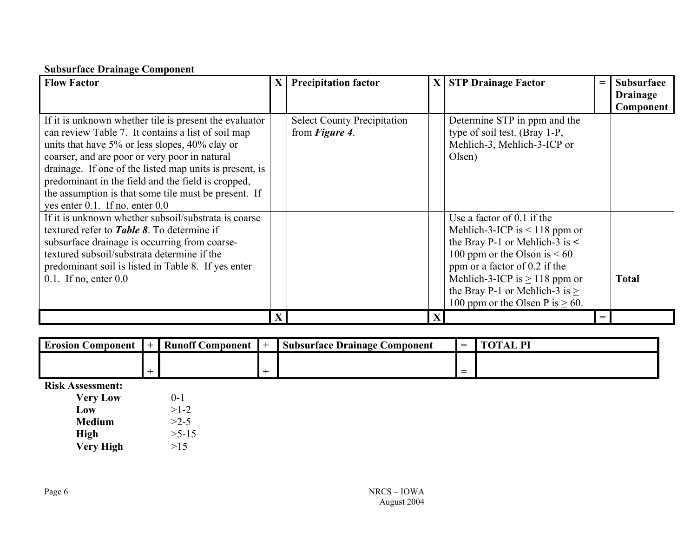### **Subsurface Drainage Component**

| <b>Flow Factor</b>                                                                                                                                                                                                                                                                                                                                                                                                               | $\mathbf{X}$ | <b>Precipitation factor</b>                                  |   | X STP Drainage Factor                                                                                                                                                                                                                                                                      | $=$ | <b>Subsurface</b><br><b>Drainage</b><br>Component |
|----------------------------------------------------------------------------------------------------------------------------------------------------------------------------------------------------------------------------------------------------------------------------------------------------------------------------------------------------------------------------------------------------------------------------------|--------------|--------------------------------------------------------------|---|--------------------------------------------------------------------------------------------------------------------------------------------------------------------------------------------------------------------------------------------------------------------------------------------|-----|---------------------------------------------------|
| If it is unknown whether tile is present the evaluator<br>can review Table 7. It contains a list of soil map<br>units that have 5% or less slopes, 40% clay or<br>coarser, and are poor or very poor in natural<br>drainage. If one of the listed map units is present, is<br>predominant in the field and the field is cropped,<br>the assumption is that some tile must be present. If<br>yes enter $0.1$ . If no, enter $0.0$ |              | <b>Select County Precipitation</b><br>from <i>Figure 4</i> . |   | Determine STP in ppm and the<br>type of soil test. (Bray 1-P,<br>Mehlich-3, Mehlich-3-ICP or<br>Olsen)                                                                                                                                                                                     |     |                                                   |
| If it is unknown whether subsoil/substrata is coarse<br>textured refer to <b>Table 8</b> . To determine if<br>subsurface drainage is occurring from coarse-<br>textured subsoil/substrata determine if the<br>predominant soil is listed in Table 8. If yes enter<br>$0.1$ . If no, enter $0.0$                                                                                                                                  |              |                                                              |   | Use a factor of $0.1$ if the<br>Mehlich-3-ICP is $<$ 118 ppm or<br>the Bray P-1 or Mehlich-3 is $\le$<br>100 ppm or the Olson is $<60$<br>ppm or a factor of 0.2 if the<br>Mehlich-3-ICP is $\geq$ 118 ppm or<br>the Bray P-1 or Mehlich-3 is $\geq$<br>100 ppm or the Olsen P is $> 60$ . |     | <b>Total</b>                                      |
|                                                                                                                                                                                                                                                                                                                                                                                                                                  | $\mathbf{X}$ |                                                              | X |                                                                                                                                                                                                                                                                                            | $=$ |                                                   |

| <b>Erosion Component</b> | <b>+</b> | <b>Runoff C</b><br><b>Component</b> | $\sim$ $\blacksquare$<br><b>Subsurface Drainage</b><br>Component · | $\sim$         | $\mathbf{P}$ |
|--------------------------|----------|-------------------------------------|--------------------------------------------------------------------|----------------|--------------|
|                          |          |                                     |                                                                    |                |              |
|                          |          |                                     |                                                                    | _<br><u>__</u> |              |

**Risk Assessment:** 

| <b>Very Low</b>  | $($ -1    |
|------------------|-----------|
| Low              | $>1-2$    |
| <b>Medium</b>    | >2.5      |
| High             | $>5 - 15$ |
| <b>Very High</b> | >15       |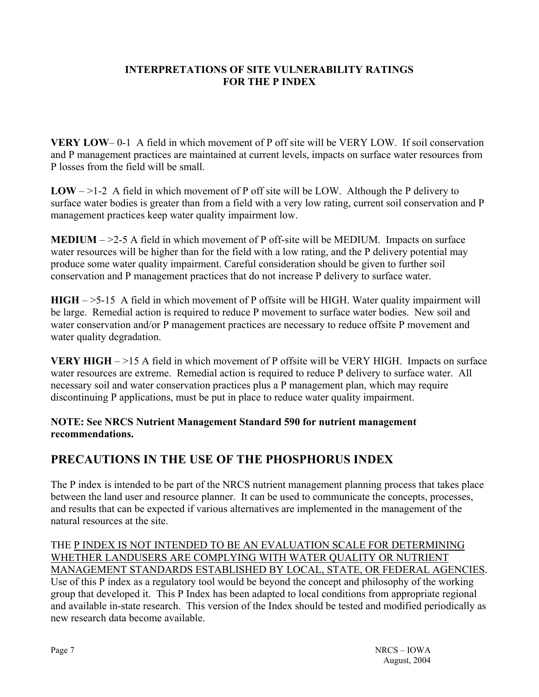### **INTERPRETATIONS OF SITE VULNERABILITY RATINGS FOR THE P INDEX**

**VERY LOW**– 0-1 A field in which movement of P off site will be VERY LOW. If soil conservation and P management practices are maintained at current levels, impacts on surface water resources from P losses from the field will be small.

**LOW** –  $>1-2$  A field in which movement of P off site will be LOW. Although the P delivery to surface water bodies is greater than from a field with a very low rating, current soil conservation and P management practices keep water quality impairment low.

**MEDIUM** – >2-5 A field in which movement of P off-site will be MEDIUM. Impacts on surface water resources will be higher than for the field with a low rating, and the P delivery potential may produce some water quality impairment. Careful consideration should be given to further soil conservation and P management practices that do not increase P delivery to surface water.

**HIGH** – >5-15 A field in which movement of P offsite will be HIGH. Water quality impairment will be large. Remedial action is required to reduce P movement to surface water bodies. New soil and water conservation and/or P management practices are necessary to reduce offsite P movement and water quality degradation.

**VERY HIGH** – >15 A field in which movement of P offsite will be VERY HIGH. Impacts on surface water resources are extreme. Remedial action is required to reduce P delivery to surface water. All necessary soil and water conservation practices plus a P management plan, which may require discontinuing P applications, must be put in place to reduce water quality impairment.

**NOTE: See NRCS Nutrient Management Standard 590 for nutrient management recommendations.** 

# **PRECAUTIONS IN THE USE OF THE PHOSPHORUS INDEX**

The P index is intended to be part of the NRCS nutrient management planning process that takes place between the land user and resource planner. It can be used to communicate the concepts, processes, and results that can be expected if various alternatives are implemented in the management of the natural resources at the site.

THE P INDEX IS NOT INTENDED TO BE AN EVALUATION SCALE FOR DETERMINING WHETHER LANDUSERS ARE COMPLYING WITH WATER QUALITY OR NUTRIENT MANAGEMENT STANDARDS ESTABLISHED BY LOCAL, STATE, OR FEDERAL AGENCIES. Use of this P index as a regulatory tool would be beyond the concept and philosophy of the working group that developed it. This P Index has been adapted to local conditions from appropriate regional and available in-state research. This version of the Index should be tested and modified periodically as new research data become available.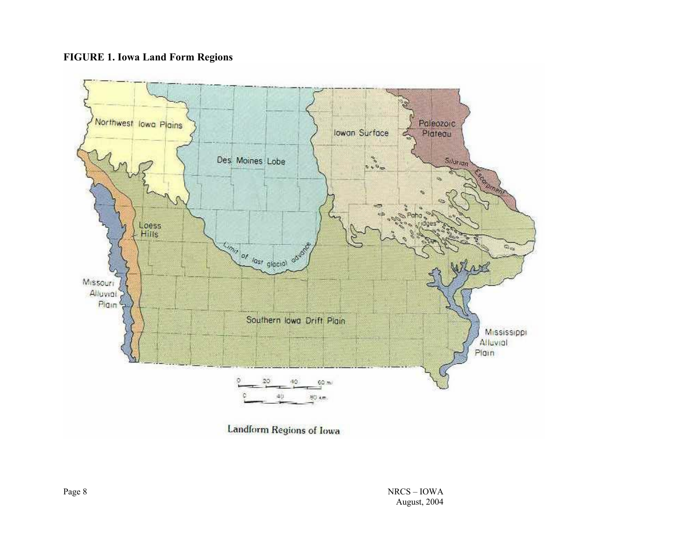#### **FIGURE 1. Iowa Land Form Regions**

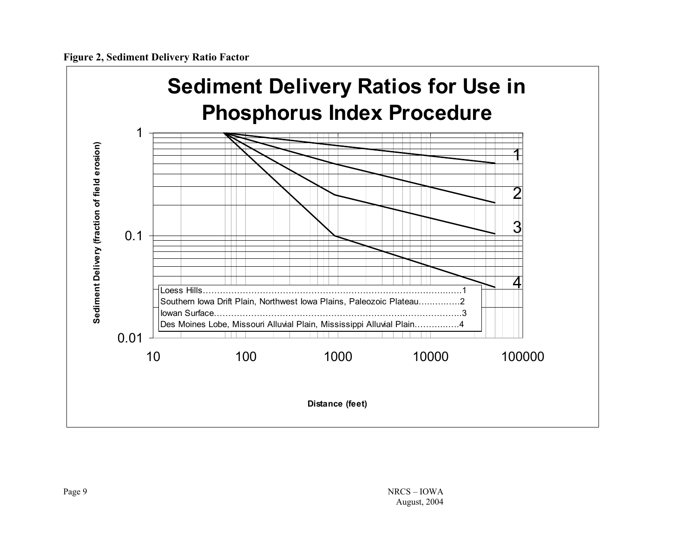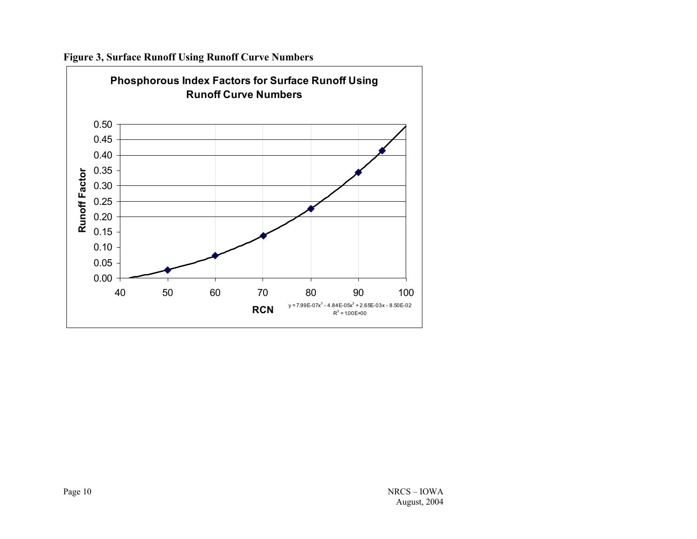

**Figure 3, Surface Runoff Using Runoff Curve Numbers**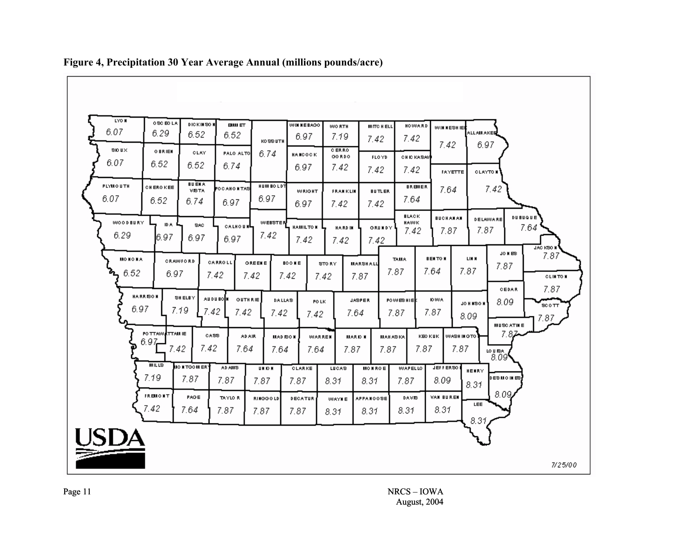

**Figure 4, Precipitation 30 Year Average Annual (millions pounds/acre)**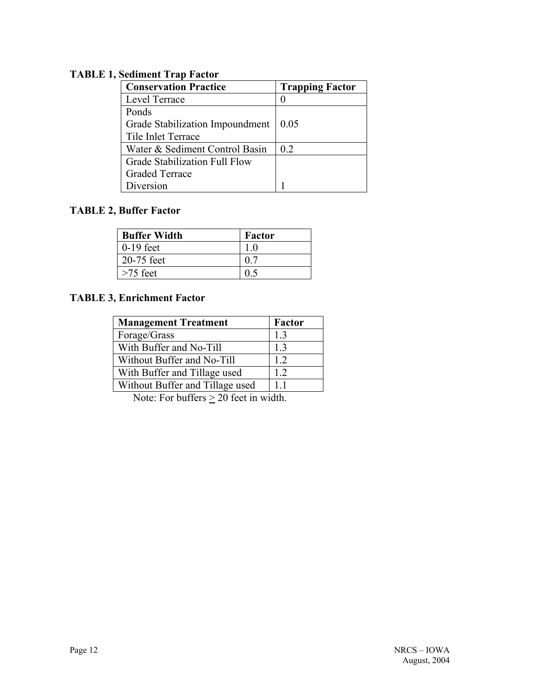### **TABLE 1, Sediment Trap Factor**

| <b>Conservation Practice</b>    | <b>Trapping Factor</b> |  |  |
|---------------------------------|------------------------|--|--|
| Level Terrace                   |                        |  |  |
| Ponds                           |                        |  |  |
| Grade Stabilization Impoundment | 0.05                   |  |  |
| Tile Inlet Terrace              |                        |  |  |
| Water & Sediment Control Basin  | 02                     |  |  |
| Grade Stabilization Full Flow   |                        |  |  |
| <b>Graded Terrace</b>           |                        |  |  |
| Diversion                       |                        |  |  |

### **TABLE 2, Buffer Factor**

| <b>Buffer Width</b> | Factor |
|---------------------|--------|
| $0-19$ feet         |        |
| 20-75 feet          |        |
| $>75$ feet          |        |

### **TABLE 3, Enrichment Factor**

| <b>Management Treatment</b>     | Factor |
|---------------------------------|--------|
| Forage/Grass                    | 13     |
| With Buffer and No-Till         | 13     |
| Without Buffer and No-Till      | 12     |
| With Buffer and Tillage used    | 1.2    |
| Without Buffer and Tillage used | 11     |

Note: For buffers  $\geq 20$  feet in width.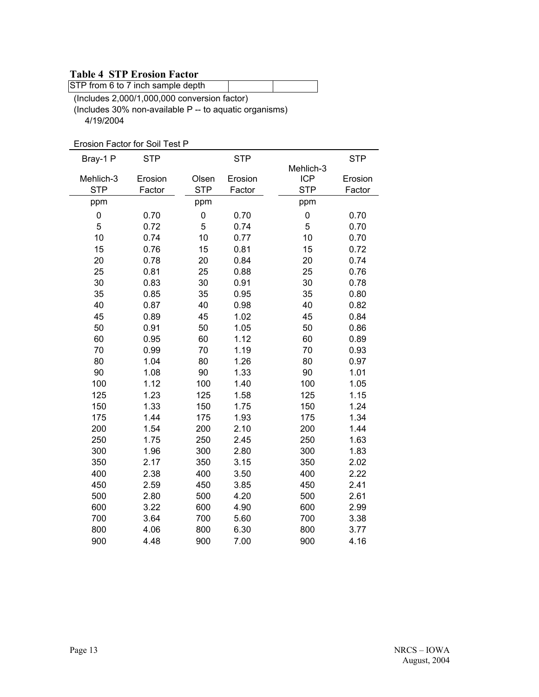#### **Table 4 STP Erosion Factor**

STP from 6 to 7 inch sample depth

(Includes 2,000/1,000,000 conversion factor) (Includes 30% non-available P -- to aquatic organisms) 4/19/2004

Erosion Factor for Soil Test P

| Bray-1 P   | <b>STP</b> |            | <b>STP</b> |            | <b>STP</b> |
|------------|------------|------------|------------|------------|------------|
|            |            |            |            | Mehlich-3  |            |
| Mehlich-3  | Erosion    | Olsen      | Erosion    | <b>ICP</b> | Erosion    |
| <b>STP</b> | Factor     | <b>STP</b> | Factor     | <b>STP</b> | Factor     |
| ppm        |            | ppm        |            | ppm        |            |
| 0          | 0.70       | 0          | 0.70       | 0          | 0.70       |
| 5          | 0.72       | 5          | 0.74       | 5          | 0.70       |
| 10         | 0.74       | 10         | 0.77       | 10         | 0.70       |
| 15         | 0.76       | 15         | 0.81       | 15         | 0.72       |
| 20         | 0.78       | 20         | 0.84       | 20         | 0.74       |
| 25         | 0.81       | 25         | 0.88       | 25         | 0.76       |
| 30         | 0.83       | 30         | 0.91       | 30         | 0.78       |
| 35         | 0.85       | 35         | 0.95       | 35         | 0.80       |
| 40         | 0.87       | 40         | 0.98       | 40         | 0.82       |
| 45         | 0.89       | 45         | 1.02       | 45         | 0.84       |
| 50         | 0.91       | 50         | 1.05       | 50         | 0.86       |
| 60         | 0.95       | 60         | 1.12       | 60         | 0.89       |
| 70         | 0.99       | 70         | 1.19       | 70         | 0.93       |
| 80         | 1.04       | 80         | 1.26       | 80         | 0.97       |
| 90         | 1.08       | 90         | 1.33       | 90         | 1.01       |
| 100        | 1.12       | 100        | 1.40       | 100        | 1.05       |
| 125        | 1.23       | 125        | 1.58       | 125        | 1.15       |
| 150        | 1.33       | 150        | 1.75       | 150        | 1.24       |
| 175        | 1.44       | 175        | 1.93       | 175        | 1.34       |
| 200        | 1.54       | 200        | 2.10       | 200        | 1.44       |
| 250        | 1.75       | 250        | 2.45       | 250        | 1.63       |
| 300        | 1.96       | 300        | 2.80       | 300        | 1.83       |
| 350        | 2.17       | 350        | 3.15       | 350        | 2.02       |
| 400        | 2.38       | 400        | 3.50       | 400        | 2.22       |
| 450        | 2.59       | 450        | 3.85       | 450        | 2.41       |
| 500        | 2.80       | 500        | 4.20       | 500        | 2.61       |
| 600        | 3.22       | 600        | 4.90       | 600        | 2.99       |
| 700        | 3.64       | 700        | 5.60       | 700        | 3.38       |
| 800        | 4.06       | 800        | 6.30       | 800        | 3.77       |
| 900        | 4.48       | 900        | 7.00       | 900        | 4.16       |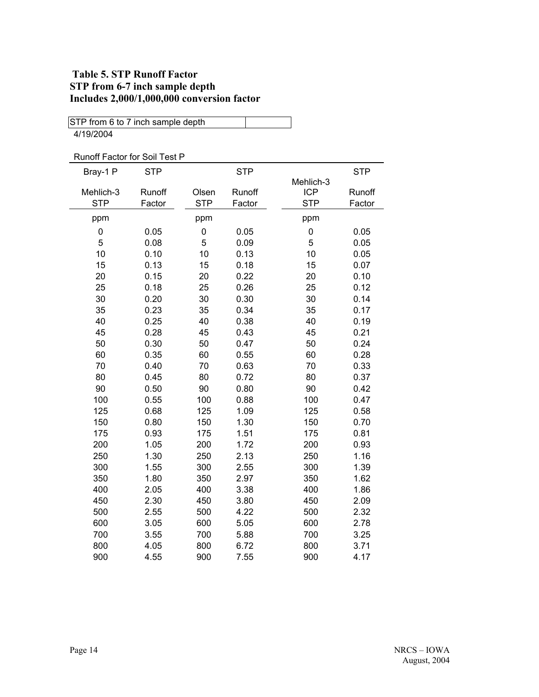### **Table 5. STP Runoff Factor STP from 6-7 inch sample depth Includes 2,000/1,000,000 conversion factor**

| STP from 6 to 7 inch sample depth |            |            |            |            |            |
|-----------------------------------|------------|------------|------------|------------|------------|
| 4/19/2004                         |            |            |            |            |            |
|                                   |            |            |            |            |            |
| Runoff Factor for Soil Test P     |            |            |            |            |            |
| Bray-1 P                          | <b>STP</b> |            | <b>STP</b> |            | <b>STP</b> |
|                                   |            |            |            | Mehlich-3  |            |
| Mehlich-3                         | Runoff     | Olsen      | Runoff     | <b>ICP</b> | Runoff     |
| <b>STP</b>                        | Factor     | <b>STP</b> | Factor     | <b>STP</b> | Factor     |
| ppm                               |            | ppm        |            | ppm        |            |
| 0                                 | 0.05       | 0          | 0.05       | 0          | 0.05       |
| 5                                 | 0.08       | 5          | 0.09       | 5          | 0.05       |
| 10                                | 0.10       | 10         | 0.13       | 10         | 0.05       |
| 15                                | 0.13       | 15         | 0.18       | 15         | 0.07       |
| 20                                | 0.15       | 20         | 0.22       | 20         | 0.10       |
| 25                                | 0.18       | 25         | 0.26       | 25         | 0.12       |
| 30                                | 0.20       | 30         | 0.30       | 30         | 0.14       |
| 35                                | 0.23       | 35         | 0.34       | 35         | 0.17       |
| 40                                | 0.25       | 40         | 0.38       | 40         | 0.19       |
| 45                                | 0.28       | 45         | 0.43       | 45         | 0.21       |
| 50                                | 0.30       | 50         | 0.47       | 50         | 0.24       |
| 60                                | 0.35       | 60         | 0.55       | 60         | 0.28       |
| 70                                | 0.40       | 70         | 0.63       | 70         | 0.33       |
| 80                                | 0.45       | 80         | 0.72       | 80         | 0.37       |
| 90                                | 0.50       | 90         | 0.80       | 90         | 0.42       |
| 100                               | 0.55       | 100        | 0.88       | 100        | 0.47       |
| 125                               | 0.68       | 125        | 1.09       | 125        | 0.58       |
| 150                               | 0.80       | 150        | 1.30       | 150        | 0.70       |
| 175                               | 0.93       | 175        | 1.51       | 175        | 0.81       |
| 200                               | 1.05       | 200        | 1.72       | 200        | 0.93       |
| 250                               | 1.30       | 250        | 2.13       | 250        | 1.16       |
| 300                               | 1.55       | 300        | 2.55       | 300        | 1.39       |
| 350                               | 1.80       | 350        | 2.97       | 350        | 1.62       |
| 400                               | 2.05       | 400        | 3.38       | 400        | 1.86       |
| 450                               | 2.30       | 450        | 3.80       | 450        | 2.09       |
| 500                               | 2.55       | 500        | 4.22       | 500        | 2.32       |
| 600                               | 3.05       | 600        | 5.05       | 600        | 2.78       |
| 700                               | 3.55       | 700        | 5.88       | 700        | 3.25       |
| 800                               | 4.05       | 800        | 6.72       | 800        | 3.71       |
| 900                               | 4.55       | 900        | 7.55       | 900        | 4.17       |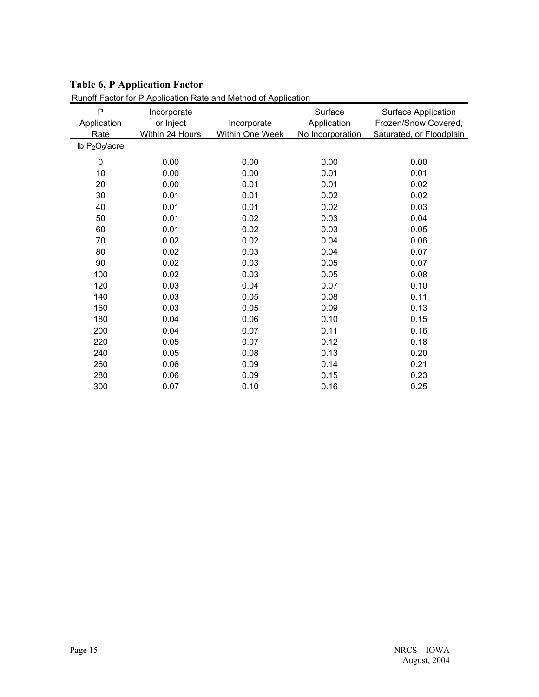### **Table 6, P Application Factor**

|                  |                 | <u>Runoil Factor for P Application Rate and Method of Application</u> |                        |                                             |
|------------------|-----------------|-----------------------------------------------------------------------|------------------------|---------------------------------------------|
| P<br>Application | Incorporate     |                                                                       | Surface<br>Application | Surface Application<br>Frozen/Snow Covered, |
|                  | or Inject       | Incorporate                                                           |                        |                                             |
| Rate             | Within 24 Hours | Within One Week                                                       | No Incorporation       | Saturated, or Floodplain                    |
| Ib $P_2O_5/acre$ |                 |                                                                       |                        |                                             |
| 0                | 0.00            | 0.00                                                                  | 0.00                   | 0.00                                        |
| 10               | 0.00            | 0.00                                                                  | 0.01                   | 0.01                                        |
| 20               | 0.00            | 0.01                                                                  | 0.01                   | 0.02                                        |
| 30               | 0.01            | 0.01                                                                  | 0.02                   | 0.02                                        |
| 40               | 0.01            | 0.01                                                                  | 0.02                   | 0.03                                        |
| 50               | 0.01            | 0.02                                                                  | 0.03                   | 0.04                                        |
| 60               | 0.01            | 0.02                                                                  | 0.03                   | 0.05                                        |
| 70               | 0.02            | 0.02                                                                  | 0.04                   | 0.06                                        |
| 80               | 0.02            | 0.03                                                                  | 0.04                   | 0.07                                        |
| 90               | 0.02            | 0.03                                                                  | 0.05                   | 0.07                                        |
| 100              | 0.02            | 0.03                                                                  | 0.05                   | 0.08                                        |
| 120              | 0.03            | 0.04                                                                  | 0.07                   | 0.10                                        |
| 140              | 0.03            | 0.05                                                                  | 0.08                   | 0.11                                        |
| 160              | 0.03            | 0.05                                                                  | 0.09                   | 0.13                                        |
| 180              | 0.04            | 0.06                                                                  | 0.10                   | 0.15                                        |
| 200              | 0.04            | 0.07                                                                  | 0.11                   | 0.16                                        |
| 220              | 0.05            | 0.07                                                                  | 0.12                   | 0.18                                        |
| 240              | 0.05            | 0.08                                                                  | 0.13                   | 0.20                                        |
| 260              | 0.06            | 0.09                                                                  | 0.14                   | 0.21                                        |
| 280              | 0.06            | 0.09                                                                  | 0.15                   | 0.23                                        |
| 300              | 0.07            | 0.10                                                                  | 0.16                   | 0.25                                        |

Runoff Factor for P Application Rate and Method of Application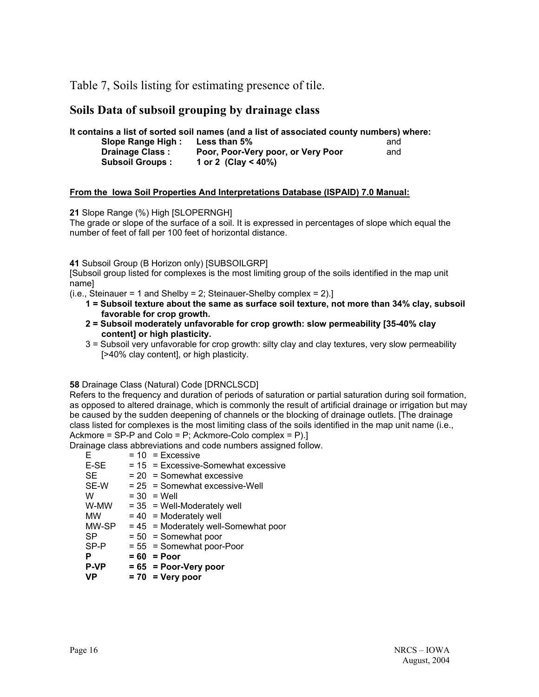Table 7, Soils listing for estimating presence of tile.

### **Soils Data of subsoil grouping by drainage class**

**It contains a list of sorted soil names (and a list of associated county numbers) where:** 

| <b>Slope Range High:</b> | <b>Less than 5%</b>                | and |
|--------------------------|------------------------------------|-----|
| <b>Drainage Class:</b>   | Poor, Poor-Very poor, or Very Poor | and |
| <b>Subsoil Groups:</b>   | 1 or 2 (Clay < 40%)                |     |

#### **From the Iowa Soil Properties And Interpretations Database (ISPAID) 7.0 Manual:**

**21** Slope Range (%) High [SLOPERNGH]

The grade or slope of the surface of a soil. It is expressed in percentages of slope which equal the number of feet of fall per 100 feet of horizontal distance.

**41** Subsoil Group (B Horizon only) [SUBSOILGRP]

[Subsoil group listed for complexes is the most limiting group of the soils identified in the map unit name]

 $(i.e., Steinauer = 1 and Shelby = 2; Steinauer-Shelp complex = 2).$ 

- **1 = Subsoil texture about the same as surface soil texture, not more than 34% clay, subsoil favorable for crop growth.**
- **2 = Subsoil moderately unfavorable for crop growth: slow permeability [35-40% clay content] or high plasticity.**
- 3 = Subsoil very unfavorable for crop growth: silty clay and clay textures, very slow permeability [>40% clay content], or high plasticity.

**58** Drainage Class (Natural) Code [DRNCLSCD]

Refers to the frequency and duration of periods of saturation or partial saturation during soil formation, as opposed to altered drainage, which is commonly the result of artificial drainage or irrigation but may be caused by the sudden deepening of channels or the blocking of drainage outlets. [The drainage class listed for complexes is the most limiting class of the soils identified in the map unit name (i.e., Ackmore = SP-P and Colo = P; Ackmore-Colo complex = P).]

Drainage class abbreviations and code numbers assigned follow.

- $E = 10 = Excessive$ <br>  $E-SE = 15 = Excessive$
- $= 15$  = Excessive-Somewhat excessive
- $SE$  = 20 = Somewhat excessive
- $SE-W = 25 = Somewhat excessive-Well$
- W  $= 30$  = Well
- $W-MW = 35 = Well-Moderately well$
- $MW = 40 = Moderned$
- $MW-SP = 45 = Moderned$  well-Somewhat poor
- $SP = 50 = S$  omewhat poor<br> $SP-P = 55 = S$  omewhat poor-
- $= 55$  = Somewhat poor-Poor
- **P = 60 = Poor**
- **P-VP = 65 = Poor-Very poor**
- **VP = 70 = Very poor**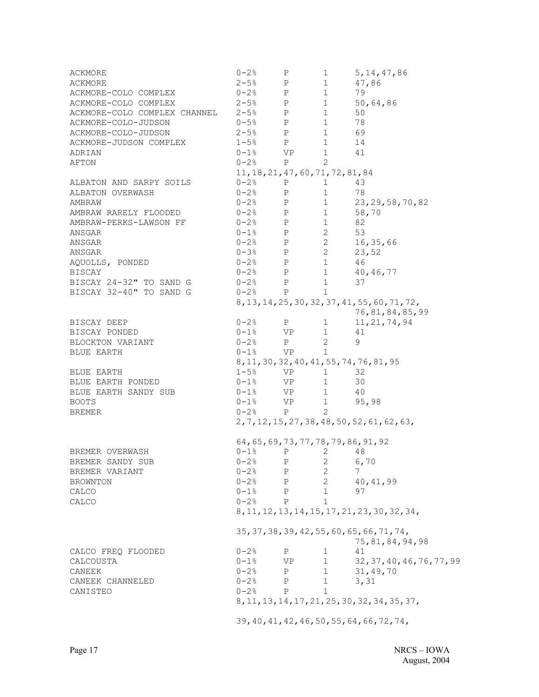ACKMORE  $0-2$ % P 1 5,14,47,86 ACKMORE 2-5% P 1 47,86 ACKMORE-COLO COMPLEX 0-2% P 1 79 ACKMORE-COLO COMPLEX 2-5% P 1 50,64,86 ACKMORE-COLO COMPLEX CHANNEL 2-5% P 1 50 ACKMORE-COLO-JUDSON 0-5% P 1 78 ACKMORE-COLO-JUDSON 2-5% P 1 69 ACKMORE-JUDSON COMPLEX 1-5% P 1 14 ADRIAN 0-1% VP 1 41  $A$ FTON  $0-2$ % P 2 11,18,21,47,60,71,72,81,84 ALBATON AND SARPY SOILS  $0-2\frac{2}{9}$  P 1 43 ALBATON OVERWASH 0-2% P 1 78 AMBRAW 0-2% P 1 23,29,58,70,82 AMBRAW RARELY FLOODED 0-2% P 1 58,70 AMBRAW-PERKS-LAWSON FF 0-2% P 1 82 ANSGAR  $0-1$ % P 2 53  $ANSGAR$   $0-2$   $P$   $2$   $16,35,66$  $-3\%$  P 2 23,52 AQUOLLS, PONDED 0-2% P 1 46 BISCAY 0-2% P 1 40,46,77 BISCAY  $0-2$ % P 1 40,46,77<br>BISCAY 24-32" TO SAND G  $0-2$ % P 1 37<br>BISCAY 32-40" TO SAND G  $0-2$ % P 1 BISCAY 32-40" TO SAND G 8,13,14,25,30,32,37,41,55,60,71,72, 76,81,84,85,99 BISCAY DEEP 0-2% P 1 11,21,74,94 BISCAY PONDED 0-1% VP 1 41 BLOCKTON VARIANT  $0-2$ % P 2 9<br>BLUE EARTH  $0-1$ % VP 1 BLUE EARTH  $0-1$ % VP 1 8,11,30,32,40,41,55,74,76,81,95 BLUE EARTH  $1-5$ % VP  $1$  32<br>
BLUE EARTH PONDED  $0-1$ % VP  $1$  30<br>
BLUE EARTH SANDY SUB  $0-1$ % VP  $1$  40 BLUE EARTH PONDED BLUE EARTH SANDY SUB  $0-1$ % VP 1 40 BOOTS 0-1% VP 1 95,98 BREMER  $0-2\%$  P  $2\%$ 2,7,12,15,27,38,48,50,52,61,62,63, 64,65,69,73,77,78,79,86,91,92 BREMER OVERWASH  $0-1$ % P 2 48<br>BREMER SANDY SUB  $0-2$ % P 2 6, BREMER SANDY SUB  $0-2$ % P 2 6,70 BREMER VARIANT  $0-2$ % P 2 7 BROWNTON  $0-2$ % P 2 40,41,99<br>CALCO  $0-1$ % P 1 97 CALCO  $0-1\%$  P 1 97 CALCO  $0-2\%$  P 1 8,11,12,13,14,15,17,21,23,30,32,34, 35,37,38,39,42,55,60,65,66,71,74,  $75,81,84,94,98$ <br>P  $1$   $41$  $\begin{tabular}{lcccccc} CALCO & FREG & FLOODED & & & & 0-2 & & P & & 1 & & 41 \\ CALCOUSTA & & & & & 0-1 & & VP & 1 & 32 \\ \end{tabular}$ CALCOUSTA 0-1% VP 1 32,37,40,46,76,77,99 CANEEK 0-2% P 1 31,49,70 CANEEK CHANNELED 0-2% P 1 3,31 CANISTEO  $0-2\frac{8}{9}$  P 1 8,11,13,14,17,21,25,30,32,34,35,37, 39,40,41,42,46,50,55,64,66,72,74,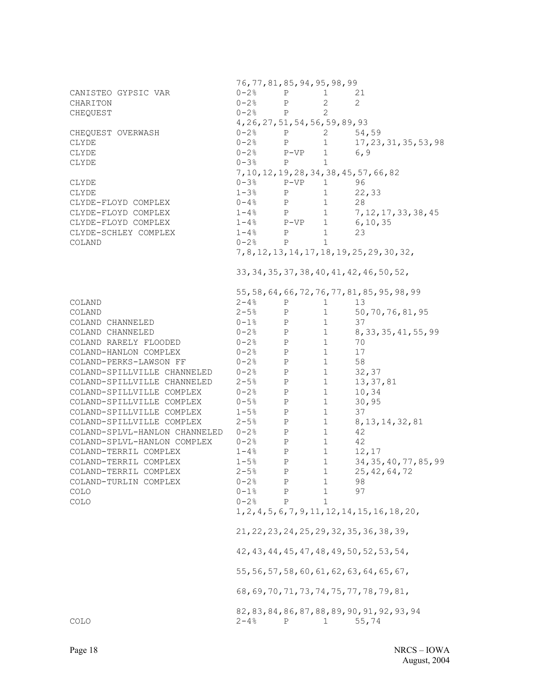76,77,81,85,94,95,98,99 CANISTEO GYPSIC VAR 0-2% P 1 21 CHARITON 0-2% P 2 2 CHEQUEST 0-2% P 2 4,26,27,51,54,56,59,89,93 CHEQUEST OVERWASH  $0-2$ % P 2 54,59<br>CLYDE  $0-2$ % P 1 17.23 CLYDE 0-2% P 1 17,23,31,35,53,98<br>
0-2% P-VP 1 6,9 CLYDE  $0-2$ %  $P-VP$  1 6,9 CLYDE  $0-3\%$  P 1 7,10,12,19,28,34,38,45,57,66,82 CLYDE 0-3% P-VP 1 96 CLYDE  $1-3\%$  P  $1$  22,33 CLYDE-FLOYD COMPLEX  $0-4%$  P 1 28<br>CLYDE-FLOYD COMPLEX 1-4% P 1 7. CLYDE-FLOYD COMPLEX  $1-4%$  P  $1$   $7,12,17,33,38,45$ <br>CLYDE-FLOYD COMPLEX  $1-4%$  P-VP  $1$   $6,10,35$ CLYDE-FLOYD COMPLEX 1-4% P-VP 1 6,10,35 CLYDE-SCHLEY COMPLEX 1-4% P 1 23 COLAND  $0-2$ % P 1 7,8,12,13,14,17,18,19,25,29,30,32, 33,34,35,37,38,40,41,42,46,50,52, 55,58,64,66,72,76,77,81,85,95,98,99 COLAND  $2-4%$  P 1 13 COLAND 2-5% P 1 50,70,76,81,95 COLAND CHANNELED  $0-1$ % P 1 37 COLAND CHANNELED 0-2% P 1 8,33,35,41,55,99 COLAND RARELY FLOODED  $0-2\%$  P 1 70<br>COLAND-HANLON COMPLEX  $0-2\%$  P 1 17 COLAND-HANLON COMPLEX  $0-2\%$  P 1 17 COLAND-PERKS-LAWSON FF  $0-2$ % P 1 58<br>COLAND-SPILLVILLE CHANNELED  $0-2$ % P 1 32 COLAND-SPILLVILLE CHANNELED  $0-2$ % P 1 32,37<br>COLAND-SPILLVILLE CHANNELED 2-5% P 1 13,37,81 COLAND-SPILLVILLE CHANNELED 2-5% P 1<br>COLAND-SPILLVILLE COMPLEX 0-2% P 1 COLAND-SPILLVILLE COMPLEX 0-2% P 1 10,34 COLAND-SPILLVILLE COMPLEX 0-5% P 1 30,95 COLAND-SPILLVILLE COMPLEX 1-5% P 1 37 COLAND-SPILLVILLE COMPLEX 2-5% P 1 8,13,14,32,81 COLAND-SPLVL-HANLON CHANNELED 0-2% P 1 42 COLAND-SPLVL-HANLON COMPLEX 0-2% P 1 42 COLAND-TERRIL COMPLEX  $1-4%$  P 1 12,17 COLAND-TERRIL COMPLEX 1-5% P 1 34,35,40,77,85,99 COLAND-TERRIL COMPLEX 2-5% P 1 25,42,64,72 COLAND-TURLIN COMPLEX 0-2% P 1 98  $COLO$  0-1% P 1 97 COLO  $0-2\%$  P 1 1,2,4,5,6,7,9,11,12,14,15,16,18,20, 21,22,23,24,25,29,32,35,36,38,39, 42,43,44,45,47,48,49,50,52,53,54, 55,56,57,58,60,61,62,63,64,65,67, 68,69,70,71,73,74,75,77,78,79,81, 82,83,84,86,87,88,89,90,91,92,93,94  $\text{COLO}$  2-4% P 1 55,74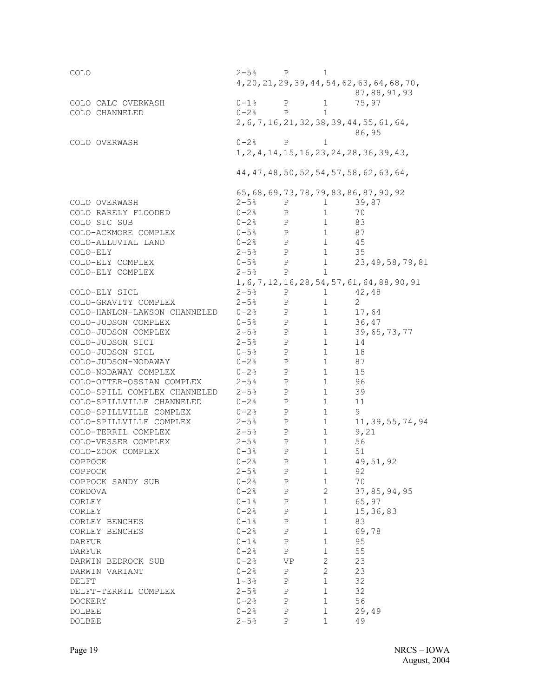| COLO                            | $2-5$ % P                           |                              | 1                      |                                                       |
|---------------------------------|-------------------------------------|------------------------------|------------------------|-------------------------------------------------------|
|                                 |                                     |                              |                        | 4, 20, 21, 29, 39, 44, 54, 62, 63, 64, 68, 70,        |
|                                 |                                     |                              |                        | 87,88,91,93                                           |
| COLO CALC OVERWASH              | $0 - 1$ %                           | Ρ                            | 1                      | 75,97                                                 |
| COLO CHANNELED                  | $0 - 2$ %                           | P                            | $\mathbf{1}$           |                                                       |
|                                 |                                     |                              |                        | 2, 6, 7, 16, 21, 32, 38, 39, 44, 55, 61, 64,<br>86,95 |
| COLO OVERWASH                   | $0 - 2%$                            | P                            | 1                      |                                                       |
|                                 |                                     |                              |                        | 1, 2, 4, 14, 15, 16, 23, 24, 28, 36, 39, 43,          |
|                                 |                                     |                              |                        | 44, 47, 48, 50, 52, 54, 57, 58, 62, 63, 64,           |
|                                 |                                     |                              |                        | 65, 68, 69, 73, 78, 79, 83, 86, 87, 90, 92            |
| COLO OVERWASH                   | $2 - 5$ %                           | Ρ                            | 1                      | 39,87                                                 |
| COLO RARELY FLOODED             | $0 - 2$ %                           | $\mathbf{P}$                 | $\mathbf{1}$           | 70                                                    |
| COLO SIC SUB                    | $0 - 2$ %<br>$\mathbb{P}$           |                              | $\mathbf{1}$           | 83                                                    |
| COLO-ACKMORE COMPLEX            | $0 - 5%$<br>$\mathbb{P}$            |                              | $1 \quad \Box$         | 87                                                    |
| COLO-ALLUVIAL LAND              | $0 - 2$ %<br>$\mathbb{P}$           |                              | $1 \quad$              | 45                                                    |
| COLO-ELY                        | $2 - 5$ <sup>8</sup><br>$\mathbf P$ |                              | $\mathbf{1}$           | 35                                                    |
| COLO-ELY COMPLEX                | $0 - 5%$                            | $\mathbf P$                  | 1                      | 23, 49, 58, 79, 81                                    |
| COLO-ELY COMPLEX                | $2 - 5%$                            | $\mathbf{P}$                 | $\mathbf{1}$           |                                                       |
|                                 |                                     |                              |                        | 1, 6, 7, 12, 16, 28, 54, 57, 61, 64, 88, 90, 91       |
| COLO-ELY SICL                   | $2 - 5$ %                           | $P \qquad \qquad$            | 1 $42,48$              |                                                       |
| COLO-GRAVITY COMPLEX            | $2 - 5$ %                           | $\mathbf{P}$                 | 1                      | $\overline{2}$                                        |
| COLO-HANLON-LAWSON CHANNELED    | $0 - 2$ %                           | P                            | 1                      | 17,64                                                 |
| COLO-JUDSON COMPLEX             | $0 - 5%$<br>P                       |                              | 1                      | 36,47                                                 |
| COLO-JUDSON COMPLEX             | $2 - 5%$                            | P                            | $1 \quad \blacksquare$ | 39,65,73,77                                           |
| COLO-JUDSON SICI                | $2 - 5$ <sup>8</sup>                | P                            | 1                      | 14                                                    |
| COLO-JUDSON SICL                | $0 - 5$ %                           | $\mathbf{P}$                 | 1                      | 18                                                    |
| COLO-JUDSON-NODAWAY             | $0 - 2$ %                           | P                            | 1                      | 87                                                    |
| COLO-NODAWAY COMPLEX            | $0 - 2$ %                           | P                            | 1                      | 15                                                    |
| COLO-OTTER-OSSIAN COMPLEX       | $2 - 5%$                            | $\mathbf{P}$                 | 1                      | 96                                                    |
| COLO-SPILL COMPLEX CHANNELED    | $2 - 5$ $\frac{6}{5}$               | P                            | 1                      | 39                                                    |
| COLO-SPILLVILLE CHANNELED       | $0 - 2$ %                           | $\mathbf{P}$                 | 1                      | 11                                                    |
| COLO-SPILLVILLE COMPLEX         | 0-2%                                | $\mathbf{P}$                 | 1                      | 9                                                     |
| COLO-SPILLVILLE COMPLEX         | $2 - 5$ %                           | P                            | $1 \quad \blacksquare$ | 11, 39, 55, 74, 94                                    |
| COLO-TERRIL COMPLEX             | $2 - 5%$                            | P                            | 1<br>1                 | 9,21                                                  |
| COLO-VESSER COMPLEX             | $2 - 5$ <sup>8</sup><br>$0 - 3%$    | P                            | 1                      | 56<br>51                                              |
| COLO-ZOOK COMPLEX<br>COPPOCK    | $0 - 2$ %                           | Ρ<br>P                       | 1                      |                                                       |
|                                 | $2 - 5$ %                           |                              | 1                      | 49, 51, 92<br>92                                      |
| COPPOCK<br>COPPOCK SANDY SUB    | $0 - 2$ %                           | Ρ<br>$\mathbf P$             | $\mathbf 1$            | 70                                                    |
| CORDOVA                         | $0 - 2$ %                           | $\mathbf{P}$                 | $\mathbf{2}$           | 37,85,94,95                                           |
| CORLEY                          | $0 - 1$ %                           |                              | 1                      | 65,97                                                 |
| CORLEY                          | $0 - 2$ %                           | Ρ<br>$\, {\bf P}$            | $\mathbf{1}$           | 15,36,83                                              |
| CORLEY BENCHES                  | $0 - 1$ %                           | $\, {\bf P}$                 | $\mathbf{1}$           | 83                                                    |
| CORLEY BENCHES                  | $0 - 2$ %                           | $\, {\bf P}$                 | $\mathbf{1}$           | 69,78                                                 |
| DARFUR                          | $0 - 1$ %                           | Ρ                            | $\mathbf{1}$           | 95                                                    |
| <b>DARFUR</b>                   | $0 - 2$ %                           | $\mathbf{P}$                 | $\mathbf{1}$           | 55                                                    |
| DARWIN BEDROCK SUB              | $0 - 2$ %                           | VP                           | $\mathbf{2}$           | 23                                                    |
|                                 | $0 - 2$ %                           | $\mathbf{P}$                 | $\mathbf{2}$           |                                                       |
| DARWIN VARIANT                  | $1 - 3%$                            |                              | $\mathbf{1}$           | 23<br>32                                              |
| DELFT                           | $2 - 5$ %                           | Ρ                            | $\mathbf{1}$           | 32                                                    |
| DELFT-TERRIL COMPLEX            |                                     | Ρ                            |                        | 56                                                    |
| <b>DOCKERY</b><br><b>DOLBEE</b> | $0 - 2$ %<br>$0 - 2$ %              | $\, {\bf P}$<br>$\, {\bf P}$ | 1<br>$\mathbf{1}$      | 29,49                                                 |
| <b>DOLBEE</b>                   | $2 - 5%$                            | $_{\rm P}$                   | $\mathbf{1}$           | 49                                                    |
|                                 |                                     |                              |                        |                                                       |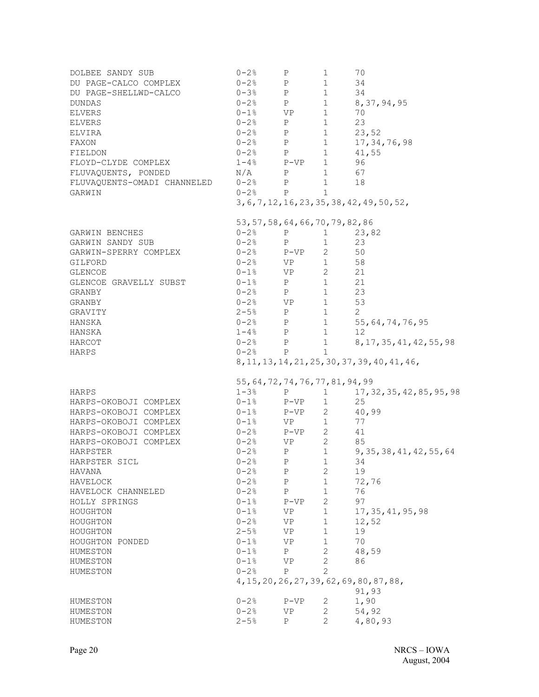| DOLBEE SANDY SUB<br>DU PAGE-CALCO COMPLEX<br>DU PAGE-SHELLWD-CALCO<br><b>DUNDAS</b><br><b>ELVERS</b><br><b>ELVERS</b><br>ELVIRA<br>FAXON<br>FIELDON<br>FLOYD-CLYDE COMPLEX<br>FLUVAQUENTS, PONDED<br>FLUVAQUENTS-OMADI CHANNELED<br>GARWIN | $0 - 2$ %<br>$0 - 2$ %<br>$0 - 3$ %<br>$-1\%$ P<br>0-2% P<br>0-2% P<br>$0 - 2$ % P<br>$0-2$ % P<br>$1-4$ % $P-VP$<br>N/A<br>$0 - 2$ % P<br>$0 - 2$ % P | Ρ<br>P<br>P<br>$\mathbf{P}$ | $\mathbf{1}$<br>$\mathbf{1}$<br>1<br>1<br>$\mathbf{1}$<br>$\mathbf{1}$<br>$\mathbf{1}$<br>$\mathbf{1}$<br>$\mathbf{1}$<br>$1 \quad \blacksquare$<br>1<br>1<br>$\mathbf{1}$ | 70<br>34<br>34<br>8, 37, 94, 95<br>70<br>23<br>23,52<br>17, 34, 76, 98<br>41,55<br>96<br>67<br>18<br>3, 6, 7, 12, 16, 23, 35, 38, 42, 49, 50, 52, |
|--------------------------------------------------------------------------------------------------------------------------------------------------------------------------------------------------------------------------------------------|--------------------------------------------------------------------------------------------------------------------------------------------------------|-----------------------------|----------------------------------------------------------------------------------------------------------------------------------------------------------------------------|---------------------------------------------------------------------------------------------------------------------------------------------------|
|                                                                                                                                                                                                                                            | 53, 57, 58, 64, 66, 70, 79, 82, 86                                                                                                                     |                             |                                                                                                                                                                            |                                                                                                                                                   |
| GARWIN BENCHES                                                                                                                                                                                                                             | 0-2%                                                                                                                                                   | Ρ                           | $1 \quad \blacksquare$                                                                                                                                                     | 23,82                                                                                                                                             |
| GARWIN SANDY SUB                                                                                                                                                                                                                           | $0-2$ % P                                                                                                                                              |                             | $\mathbf{1}$                                                                                                                                                               | 23                                                                                                                                                |
| GARWIN-SPERRY COMPLEX                                                                                                                                                                                                                      | $0-2$ % $P-VP$                                                                                                                                         |                             | $\overline{2}$                                                                                                                                                             | 50                                                                                                                                                |
| GILFORD                                                                                                                                                                                                                                    | $0-2$ % VP                                                                                                                                             |                             | 1                                                                                                                                                                          | 58                                                                                                                                                |
| <b>GLENCOE</b>                                                                                                                                                                                                                             | $0 - 1$ % VP                                                                                                                                           |                             | $2^{\circ}$                                                                                                                                                                | 21                                                                                                                                                |
| GLENCOE GRAVELLY SUBST                                                                                                                                                                                                                     | $0 - 1$ %                                                                                                                                              | P                           | 1                                                                                                                                                                          | 21                                                                                                                                                |
| GRANBY                                                                                                                                                                                                                                     | $0 - 2$ %                                                                                                                                              | P                           | 1                                                                                                                                                                          | 23                                                                                                                                                |
| GRANBY                                                                                                                                                                                                                                     | $0 - 2$ % VP                                                                                                                                           |                             | 1                                                                                                                                                                          | 53                                                                                                                                                |
| GRAVITY                                                                                                                                                                                                                                    | $2 - 5$ %                                                                                                                                              | P                           | 1                                                                                                                                                                          | 2                                                                                                                                                 |
| HANSKA                                                                                                                                                                                                                                     | $0-2$ % P                                                                                                                                              |                             | $1 \quad \blacksquare$                                                                                                                                                     | 55, 64, 74, 76, 95                                                                                                                                |
| HANSKA                                                                                                                                                                                                                                     | $1-4$ % P                                                                                                                                              |                             | 1                                                                                                                                                                          | 12                                                                                                                                                |
| HARCOT                                                                                                                                                                                                                                     | $0 - 2$ % P                                                                                                                                            |                             | $1 \quad \blacksquare$                                                                                                                                                     | 8, 17, 35, 41, 42, 55, 98                                                                                                                         |
| HARPS                                                                                                                                                                                                                                      | $0 - 2$ % P                                                                                                                                            |                             | $\mathbf{1}$                                                                                                                                                               |                                                                                                                                                   |
|                                                                                                                                                                                                                                            |                                                                                                                                                        |                             |                                                                                                                                                                            | 8, 11, 13, 14, 21, 25, 30, 37, 39, 40, 41, 46,                                                                                                    |
|                                                                                                                                                                                                                                            |                                                                                                                                                        |                             |                                                                                                                                                                            |                                                                                                                                                   |
|                                                                                                                                                                                                                                            | 55, 64, 72, 74, 76, 77, 81, 94, 99                                                                                                                     |                             |                                                                                                                                                                            |                                                                                                                                                   |
| HARPS                                                                                                                                                                                                                                      | $1 - 3$ %                                                                                                                                              | $\, {\bf P}$                | $\mathbf{1}$                                                                                                                                                               | 17, 32, 35, 42, 85, 95, 98                                                                                                                        |
| HARPS-OKOBOJI COMPLEX                                                                                                                                                                                                                      | $0 - 1$ %                                                                                                                                              | P-VP                        | $\mathbf{1}$                                                                                                                                                               | 25                                                                                                                                                |
| HARPS-OKOBOJI COMPLEX                                                                                                                                                                                                                      | $0-1$ %                                                                                                                                                | $P-VP$                      | $2 \left( \frac{1}{2} \right)$                                                                                                                                             | 40,99                                                                                                                                             |
| HARPS-OKOBOJI COMPLEX                                                                                                                                                                                                                      | $0 - 1$ %                                                                                                                                              | VP <b>V</b>                 | 1                                                                                                                                                                          | 77                                                                                                                                                |
| HARPS-OKOBOJI COMPLEX                                                                                                                                                                                                                      | $0 - 2$ %                                                                                                                                              | $P-VP$                      | $2^{\circ}$                                                                                                                                                                | 41                                                                                                                                                |
| HARPS-OKOBOJI COMPLEX                                                                                                                                                                                                                      | $0 - 2$ %                                                                                                                                              | VP                          | $2^{\circ}$                                                                                                                                                                | 85                                                                                                                                                |
| HARPSTER                                                                                                                                                                                                                                   | $0 - 2$ %                                                                                                                                              | P                           | 1                                                                                                                                                                          | 9, 35, 38, 41, 42, 55, 64                                                                                                                         |
| HARPSTER SICL                                                                                                                                                                                                                              | $0 - 2%$                                                                                                                                               | P                           | 1                                                                                                                                                                          | 34                                                                                                                                                |
| HAVANA                                                                                                                                                                                                                                     | $0 - 2$ %                                                                                                                                              | $\mathbb{P}$                | 2                                                                                                                                                                          | 19                                                                                                                                                |
| HAVELOCK                                                                                                                                                                                                                                   | $0 - 2$ %                                                                                                                                              | $\mathbb{P}$                | $\mathbf{1}$                                                                                                                                                               | 72,76                                                                                                                                             |
| HAVELOCK CHANNELED                                                                                                                                                                                                                         | $0 - 2$ %                                                                                                                                              | P                           | $\mathbf{1}$                                                                                                                                                               | 76                                                                                                                                                |
| HOLLY SPRINGS                                                                                                                                                                                                                              | $0 - 1$ %                                                                                                                                              | $P-VP$                      | $2 \overline{ }$                                                                                                                                                           | 97                                                                                                                                                |
| HOUGHTON                                                                                                                                                                                                                                   | $0 - 1$ %                                                                                                                                              | VP                          | $1 \quad \blacksquare$                                                                                                                                                     | 17, 35, 41, 95, 98                                                                                                                                |
| HOUGHTON                                                                                                                                                                                                                                   | $0 - 2%$                                                                                                                                               | VP                          | $\mathbf{1}$                                                                                                                                                               | 12,52                                                                                                                                             |
| HOUGHTON                                                                                                                                                                                                                                   | $2 - 5%$                                                                                                                                               | VP                          | $\mathbf{1}$                                                                                                                                                               | 19                                                                                                                                                |
| HOUGHTON PONDED                                                                                                                                                                                                                            | $0 - 1$ %                                                                                                                                              | VP                          | $\mathbf{1}$                                                                                                                                                               | 70                                                                                                                                                |
| HUMESTON                                                                                                                                                                                                                                   | $0 - 1$ %                                                                                                                                              | P                           | $\mathbf{2}$                                                                                                                                                               | 48,59                                                                                                                                             |
| HUMESTON                                                                                                                                                                                                                                   | $0 - 1$ %                                                                                                                                              | VP                          | $\mathbf{2}$                                                                                                                                                               | 86                                                                                                                                                |
| HUMESTON                                                                                                                                                                                                                                   | $0 - 2%$                                                                                                                                               | $\mathbf{P}$                | 2                                                                                                                                                                          |                                                                                                                                                   |
|                                                                                                                                                                                                                                            |                                                                                                                                                        |                             |                                                                                                                                                                            | 4, 15, 20, 26, 27, 39, 62, 69, 80, 87, 88,                                                                                                        |
|                                                                                                                                                                                                                                            |                                                                                                                                                        |                             |                                                                                                                                                                            | 91,93                                                                                                                                             |
| HUMESTON                                                                                                                                                                                                                                   | $0 - 2$ %                                                                                                                                              | $P-VP$                      | 2                                                                                                                                                                          | 1,90                                                                                                                                              |
| HUMESTON                                                                                                                                                                                                                                   | $0 - 2$ %                                                                                                                                              | VP.                         | 2                                                                                                                                                                          | 54,92                                                                                                                                             |
| HUMESTON                                                                                                                                                                                                                                   | $2 - 5$ %                                                                                                                                              | Ρ                           | $\mathbf{2}^{\prime}$                                                                                                                                                      | 4,80,93                                                                                                                                           |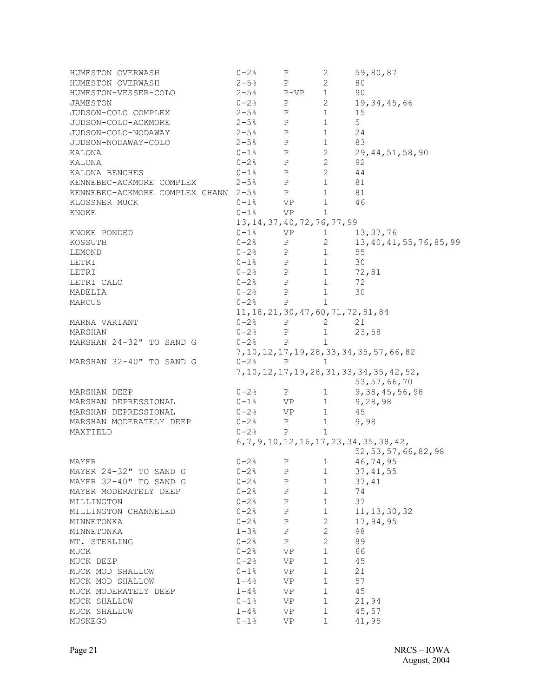| HUMESTON OVERWASH<br>HUMESTON OVERWASH<br>HUMESTON-VESSER-COLO<br>JAMESTON<br>JUDSON-COLO COMPLEX<br>JUDSON-COLO-ACKMORE<br>JUDSON-COLO-NODAWAY<br>JUDSON-NODAWAY-COLO<br>KALONA<br>KALONA<br>KALONA BENCHES<br>KENNEBEC-ACKMORE COMPLEX $2-5$ % P<br>KENNEBEC-ACKMORE COMPLEX CHANN $2-5$ % P<br>KLOSSNER MUCK<br>KNOKE | $0 - 2$ %<br>$2 - 5$ %<br>$2 - 5$ %<br>$0 - 2$ %<br>$2 - 5$ %<br>$2 - 5$ % P<br>$2 - 5$ % P<br>$2-5$ % P<br>$0 - 1$ % P<br>$0 - 2$ % P<br>$0-1$ % P<br>$0-1$ % VP<br>$0-1$ % VP | Ρ<br>$\mathbf{P}$<br>$P-VP$<br>P<br>$\mathbb{P}$ | 2<br>$\mathbf{2}$<br>1<br>$2^{\circ}$<br>$\mathbf{1}$<br>$\mathbf{1}$<br>$1 \quad \blacksquare$<br>$1 \quad \blacksquare$<br>$2 \left( \frac{1}{2} \right)$<br>$2^{\circ}$<br>$2^{\circ}$<br>1<br>1<br>$\mathbf{1}$<br>$\mathbf{1}$ | 59,80,87<br>80<br>90<br>19, 34, 45, 66<br>15<br>5 <sup>5</sup><br>24<br>83<br>29, 44, 51, 58, 90<br>92<br>44<br>81<br>81<br>46 |
|--------------------------------------------------------------------------------------------------------------------------------------------------------------------------------------------------------------------------------------------------------------------------------------------------------------------------|---------------------------------------------------------------------------------------------------------------------------------------------------------------------------------|--------------------------------------------------|-------------------------------------------------------------------------------------------------------------------------------------------------------------------------------------------------------------------------------------|--------------------------------------------------------------------------------------------------------------------------------|
|                                                                                                                                                                                                                                                                                                                          | 13, 14, 37, 40, 72, 76, 77, 99                                                                                                                                                  |                                                  |                                                                                                                                                                                                                                     |                                                                                                                                |
| KNOKE PONDED<br>KOSSUTH<br>LEMOND<br>LETRI                                                                                                                                                                                                                                                                               | $0-1$ % VP<br>$0 - 2$ % P<br>$0 - 2$ % P<br>$0-1$ % P                                                                                                                           |                                                  | $1 \quad \blacksquare$<br>$\mathbf{2}$<br>1<br>1                                                                                                                                                                                    | 13,37,76<br>13, 40, 41, 55, 76, 85, 99<br>55<br>30                                                                             |
| LETRI                                                                                                                                                                                                                                                                                                                    |                                                                                                                                                                                 |                                                  | 1                                                                                                                                                                                                                                   | 72,81                                                                                                                          |
| LETRI CALC                                                                                                                                                                                                                                                                                                               | $0-2$ % P<br>$0-2$ % P                                                                                                                                                          |                                                  | $\mathbf{1}$                                                                                                                                                                                                                        | 72                                                                                                                             |
| MADELIA                                                                                                                                                                                                                                                                                                                  | $0-2$ % P                                                                                                                                                                       |                                                  | 1                                                                                                                                                                                                                                   | 30                                                                                                                             |
| MARCUS                                                                                                                                                                                                                                                                                                                   | $0 - 2$ % P                                                                                                                                                                     |                                                  | $\mathbf{1}$                                                                                                                                                                                                                        |                                                                                                                                |
|                                                                                                                                                                                                                                                                                                                          | 11, 18, 21, 30, 47, 60, 71, 72, 81, 84                                                                                                                                          |                                                  |                                                                                                                                                                                                                                     |                                                                                                                                |
| MARNA VARIANT                                                                                                                                                                                                                                                                                                            | $0 - 2$ % P                                                                                                                                                                     |                                                  | 2                                                                                                                                                                                                                                   | 21                                                                                                                             |
| MARSHAN                                                                                                                                                                                                                                                                                                                  | $0 - 2$ % P                                                                                                                                                                     |                                                  | 1                                                                                                                                                                                                                                   | 23,58                                                                                                                          |
|                                                                                                                                                                                                                                                                                                                          | $0 - 2$ % P                                                                                                                                                                     |                                                  | 1                                                                                                                                                                                                                                   |                                                                                                                                |
| MARSHAN 24-32" TO SAND G                                                                                                                                                                                                                                                                                                 |                                                                                                                                                                                 |                                                  |                                                                                                                                                                                                                                     |                                                                                                                                |
|                                                                                                                                                                                                                                                                                                                          |                                                                                                                                                                                 |                                                  |                                                                                                                                                                                                                                     | 7, 10, 12, 17, 19, 28, 33, 34, 35, 57, 66, 82                                                                                  |
| MARSHAN 32-40" TO SAND G                                                                                                                                                                                                                                                                                                 | $0 - 2$ % P                                                                                                                                                                     |                                                  | $\mathbf{1}$                                                                                                                                                                                                                        |                                                                                                                                |
|                                                                                                                                                                                                                                                                                                                          |                                                                                                                                                                                 |                                                  |                                                                                                                                                                                                                                     | 7, 10, 12, 17, 19, 28, 31, 33, 34, 35, 42, 52,                                                                                 |
|                                                                                                                                                                                                                                                                                                                          |                                                                                                                                                                                 |                                                  |                                                                                                                                                                                                                                     | 53, 57, 66, 70                                                                                                                 |
| MARSHAN DEEP                                                                                                                                                                                                                                                                                                             | $0-2$ % P                                                                                                                                                                       |                                                  | $\mathbf{1}$                                                                                                                                                                                                                        | 9, 38, 45, 56, 98                                                                                                              |
| MARSHAN DEPRESSIONAL                                                                                                                                                                                                                                                                                                     | $0-1$ % VP                                                                                                                                                                      |                                                  | $1 \quad \blacksquare$                                                                                                                                                                                                              | 9,28,98                                                                                                                        |
| MARSHAN DEPRESSIONAL                                                                                                                                                                                                                                                                                                     | $0-2$ % VP                                                                                                                                                                      |                                                  | 1                                                                                                                                                                                                                                   | 45                                                                                                                             |
| MARSHAN MODERATELY DEEP                                                                                                                                                                                                                                                                                                  | $0 - 2$ % P                                                                                                                                                                     |                                                  | $\mathbf{1}$                                                                                                                                                                                                                        | 9,98                                                                                                                           |
| MAXFIELD                                                                                                                                                                                                                                                                                                                 | $0 - 2$ %                                                                                                                                                                       | $\mathbf{P}$                                     | $\mathbf{1}$                                                                                                                                                                                                                        |                                                                                                                                |
|                                                                                                                                                                                                                                                                                                                          |                                                                                                                                                                                 |                                                  |                                                                                                                                                                                                                                     | $6, 7, 9, 10, 12, 16, 17, 23, 34, 35, 38, 42,$                                                                                 |
|                                                                                                                                                                                                                                                                                                                          |                                                                                                                                                                                 |                                                  |                                                                                                                                                                                                                                     | 52, 53, 57, 66, 82, 98                                                                                                         |
| MAYER                                                                                                                                                                                                                                                                                                                    | $0 - 2$ % P                                                                                                                                                                     |                                                  | 1                                                                                                                                                                                                                                   | 46,74,95                                                                                                                       |
| MAYER 24-32" TO SAND G                                                                                                                                                                                                                                                                                                   | $0 - 2$ %                                                                                                                                                                       | $\mathbb{P}$                                     | 1                                                                                                                                                                                                                                   | 37, 41, 55                                                                                                                     |
| MAYER 32-40" TO SAND G                                                                                                                                                                                                                                                                                                   | $0 - 2$ % P                                                                                                                                                                     |                                                  | $1 \qquad \qquad$                                                                                                                                                                                                                   | 37,41                                                                                                                          |
| MAYER MODERATELY DEEP                                                                                                                                                                                                                                                                                                    | $0 - 2$ % P                                                                                                                                                                     |                                                  | 1                                                                                                                                                                                                                                   | 74                                                                                                                             |
| MILLINGTON                                                                                                                                                                                                                                                                                                               | $0 - 2$ %                                                                                                                                                                       | P                                                | $1 \quad$                                                                                                                                                                                                                           | 37                                                                                                                             |
| MILLINGTON CHANNELED                                                                                                                                                                                                                                                                                                     | $0 - 2$ %                                                                                                                                                                       | $\mathbf{P}$                                     | $1 \quad \Box$                                                                                                                                                                                                                      | 11, 13, 30, 32                                                                                                                 |
| MINNETONKA                                                                                                                                                                                                                                                                                                               | $0 - 2$ %                                                                                                                                                                       | $\mathbf{P}$                                     | $2\overline{ }$                                                                                                                                                                                                                     | 17,94,95                                                                                                                       |
| MINNETONKA                                                                                                                                                                                                                                                                                                               | $1 - 3%$                                                                                                                                                                        | $\mathbf{P}$                                     | $\overline{2}$                                                                                                                                                                                                                      | 98                                                                                                                             |
| MT. STERLING                                                                                                                                                                                                                                                                                                             | $0 - 2$ %                                                                                                                                                                       | P                                                | $\mathbf{2}$                                                                                                                                                                                                                        | 89                                                                                                                             |
| MUCK                                                                                                                                                                                                                                                                                                                     | $0 - 2$ %                                                                                                                                                                       | VP                                               | $\mathbf{1}$                                                                                                                                                                                                                        | 66                                                                                                                             |
| MUCK DEEP                                                                                                                                                                                                                                                                                                                | $0 - 2$ %                                                                                                                                                                       | VP                                               | $\mathbf{1}$                                                                                                                                                                                                                        | 45                                                                                                                             |
| MUCK MOD SHALLOW                                                                                                                                                                                                                                                                                                         | $0 - 1$ %                                                                                                                                                                       | VP                                               | $\mathbf{1}$                                                                                                                                                                                                                        | 21                                                                                                                             |
| MUCK MOD SHALLOW                                                                                                                                                                                                                                                                                                         | $1 - 48$                                                                                                                                                                        | VP                                               | $\mathbf{1}$                                                                                                                                                                                                                        | 57                                                                                                                             |
| MUCK MODERATELY DEEP                                                                                                                                                                                                                                                                                                     | $1 - 48$                                                                                                                                                                        | VP <b>V</b>                                      | 1                                                                                                                                                                                                                                   | 45                                                                                                                             |
| MUCK SHALLOW                                                                                                                                                                                                                                                                                                             | $0 - 1$ %                                                                                                                                                                       | VP                                               | 1                                                                                                                                                                                                                                   | 21,94                                                                                                                          |
| MUCK SHALLOW                                                                                                                                                                                                                                                                                                             | $1 - 4.8$                                                                                                                                                                       | VP                                               | $\mathbf{1}$                                                                                                                                                                                                                        | 45,57                                                                                                                          |
| MUSKEGO                                                                                                                                                                                                                                                                                                                  | $0 - 1$ %                                                                                                                                                                       | VP.                                              | $\mathbf{1}$                                                                                                                                                                                                                        | 41,95                                                                                                                          |
|                                                                                                                                                                                                                                                                                                                          |                                                                                                                                                                                 |                                                  |                                                                                                                                                                                                                                     |                                                                                                                                |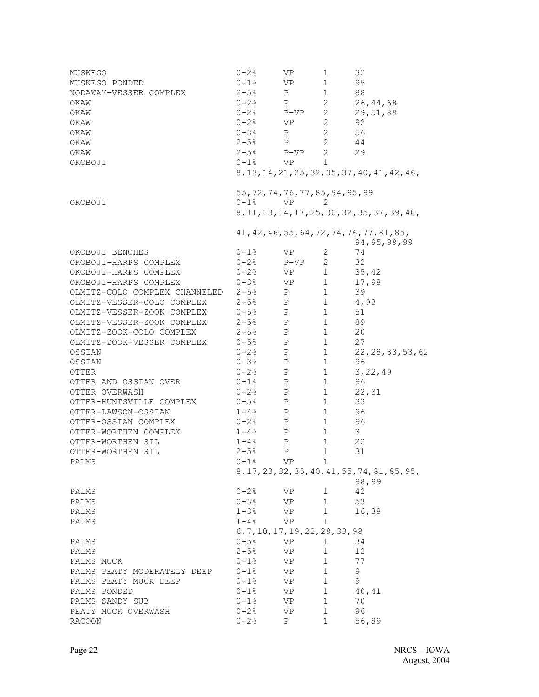| MUSKEGO                       | $0 - 2$ %                                     | VP.                                                                                                                                                                                                                            | 1                      | 32                                                            |
|-------------------------------|-----------------------------------------------|--------------------------------------------------------------------------------------------------------------------------------------------------------------------------------------------------------------------------------|------------------------|---------------------------------------------------------------|
| MUSKEGO PONDED                | $0 - 1$ %                                     | VP                                                                                                                                                                                                                             | 1                      | 95                                                            |
| NODAWAY-VESSER COMPLEX        | $2 - 5%$                                      | P                                                                                                                                                                                                                              | 1                      | 88                                                            |
| OKAW                          | $0 - 2$ %                                     | P                                                                                                                                                                                                                              | $2^{\circ}$            | 26, 44, 68                                                    |
| OKAW                          | $0 - 2$ %                                     | $P-VP$                                                                                                                                                                                                                         | $2^{\circ}$            | 29,51,89                                                      |
| OKAW                          | $0 - 2$ %                                     | VP                                                                                                                                                                                                                             | $\mathbf{2}$           | 92                                                            |
| OKAW                          | $0 - 3$ %                                     | P                                                                                                                                                                                                                              | $\overline{2}$         | 56                                                            |
| OKAW                          | $2 - 5$ %                                     | P                                                                                                                                                                                                                              | $2 \qquad \qquad 44$   |                                                               |
| OKAW                          | $2 - 5$ %                                     | $P-VP$                                                                                                                                                                                                                         | $2^{\circ}$            | 29                                                            |
| OKOBOJI                       | $0 - 1$ %                                     | <b>VP</b>                                                                                                                                                                                                                      | $\mathbf{1}$           |                                                               |
|                               |                                               |                                                                                                                                                                                                                                |                        | 8, 13, 14, 21, 25, 32, 35, 37, 40, 41, 42, 46,                |
|                               | 55, 72, 74, 76, 77, 85, 94, 95, 99            |                                                                                                                                                                                                                                |                        |                                                               |
| OKOBOJI                       | $0-1$ % VP                                    |                                                                                                                                                                                                                                | 2                      |                                                               |
|                               |                                               |                                                                                                                                                                                                                                |                        | 8, 11, 13, 14, 17, 25, 30, 32, 35, 37, 39, 40,                |
|                               |                                               |                                                                                                                                                                                                                                |                        | 41, 42, 46, 55, 64, 72, 74, 76, 77, 81, 85,<br>94, 95, 98, 99 |
| OKOBOJI BENCHES               | $0 - 1$ %                                     | VP                                                                                                                                                                                                                             | 2                      | 74                                                            |
| OKOBOJI-HARPS COMPLEX         | $0 - 2$ %                                     | P-VP                                                                                                                                                                                                                           | $2^{\circ}$            | 32                                                            |
| OKOBOJI-HARPS COMPLEX         | $0 - 2$ %                                     | VP                                                                                                                                                                                                                             | 1                      | 35,42                                                         |
| OKOBOJI-HARPS COMPLEX         | $0 - 3$ %                                     | VP                                                                                                                                                                                                                             | 1                      | 17,98                                                         |
| OLMITZ-COLO COMPLEX CHANNELED | $2 - 5$ %                                     | P                                                                                                                                                                                                                              | 1                      | 39                                                            |
| OLMITZ-VESSER-COLO COMPLEX    | $2 - 5$ %                                     | P                                                                                                                                                                                                                              | 1 $4,93$               |                                                               |
| OLMITZ-VESSER-ZOOK COMPLEX    | $0 - 5%$                                      | P                                                                                                                                                                                                                              | $1 \quad \blacksquare$ | 51                                                            |
| OLMITZ-VESSER-ZOOK COMPLEX    | $2 - 5$ %                                     | P                                                                                                                                                                                                                              | 1 89                   |                                                               |
| OLMITZ-ZOOK-COLO COMPLEX      | $2-5%$ P                                      |                                                                                                                                                                                                                                | $1 \quad \blacksquare$ | 20                                                            |
| OLMITZ-ZOOK-VESSER COMPLEX    | $0 - 5%$                                      | P                                                                                                                                                                                                                              | 1                      | 27                                                            |
| OSSIAN                        | $0 - 2$ %                                     | P                                                                                                                                                                                                                              | 1                      | 22, 28, 33, 53, 62                                            |
| OSSIAN                        | $0 - 3$ %                                     | P                                                                                                                                                                                                                              | 1                      | 96                                                            |
| OTTER                         | $0 - 2$ %                                     | P                                                                                                                                                                                                                              | $\mathbf{1}$           | 3, 22, 49                                                     |
| OTTER AND OSSIAN OVER         | $0 - 1$ %                                     | P                                                                                                                                                                                                                              | 1                      | 96                                                            |
| OTTER OVERWASH                | $0 - 2$ %                                     | P                                                                                                                                                                                                                              | 1                      | 22, 31                                                        |
| OTTER-HUNTSVILLE COMPLEX      | $0 - 5$ %                                     | $\mathbb{P}$                                                                                                                                                                                                                   | 1                      | 33                                                            |
| OTTER-LAWSON-OSSIAN           | $1 - 48$                                      | P                                                                                                                                                                                                                              | $1 \quad$              | 96                                                            |
| OTTER-OSSIAN COMPLEX          | $0 - 2$ %                                     | P                                                                                                                                                                                                                              | 1                      | 96                                                            |
| OTTER-WORTHEN COMPLEX         | $1 - 48$                                      | P                                                                                                                                                                                                                              | 1                      | 3                                                             |
| OTTER-WORTHEN SIL             | $1 - 48$                                      | P                                                                                                                                                                                                                              | 1                      | 22                                                            |
| OTTER-WORTHEN SIL             | $2 - 5%$                                      | $\mathbf{P}$                                                                                                                                                                                                                   | $\mathbf{1}$           | 31                                                            |
| PALMS                         | $0 - 1$ %                                     | VP                                                                                                                                                                                                                             | $\mathbf{1}$           |                                                               |
|                               |                                               |                                                                                                                                                                                                                                |                        | 8, 17, 23, 32, 35, 40, 41, 55, 74, 81, 85, 95,                |
|                               |                                               |                                                                                                                                                                                                                                |                        | 98,99                                                         |
| PALMS                         | $0 - 2$ %                                     | VP                                                                                                                                                                                                                             | 1                      | 42                                                            |
| PALMS                         | $0 - 3$ %                                     | VP and the vertex of the vertex of the vertex of the vertex of the vertex of the vertex of the vertex of the vertex of the vertex of the vertex of the vertex of the vertex of the vertex of the vertex of the vertex of the v | 1                      | 53                                                            |
| PALMS                         | $1 - 3%$                                      | VP                                                                                                                                                                                                                             | 1                      | 16,38                                                         |
| PALMS                         | $1 - 4.8$<br>6, 7, 10, 17, 19, 22, 28, 33, 98 | VP                                                                                                                                                                                                                             | $\mathbf{1}$           |                                                               |
| PALMS                         | $0 - 5%$                                      | VP and the set of the set of the set of the set of the set of the set of the set of the set of the set of the set of the set of the set of the set of the set of the set of the set of the set of the set of the set of the se | 1                      | 34                                                            |
| PALMS                         | $2 - 5$ %                                     | VP.                                                                                                                                                                                                                            | $\mathbf 1$            | 12                                                            |
| PALMS MUCK                    | $0 - 1$ %                                     | VP                                                                                                                                                                                                                             | $\mathbf{1}$           | 77                                                            |
| PALMS PEATY MODERATELY DEEP   | 0-1%                                          | VP <b>Note</b>                                                                                                                                                                                                                 | 1                      | 9                                                             |
| PALMS PEATY MUCK DEEP         | $0 - 1$ %                                     | <b>VP</b>                                                                                                                                                                                                                      | $1 \quad$              | 9                                                             |
| PALMS PONDED                  | $0 - 1$ %                                     | VP and the vertex of the vertex of the vertex of the vertex of the vertex of the vertex of the vertex of the vertex of the vertex of the vertex of the vertex of the vertex of the vertex of the vertex of the vertex of the v | $1 \quad \blacksquare$ | 40,41                                                         |
| PALMS SANDY SUB               | $0 - 1$ %                                     | VP                                                                                                                                                                                                                             | 1                      | 70                                                            |
| PEATY MUCK OVERWASH           | $0 - 2%$                                      | VP                                                                                                                                                                                                                             | 1                      | 96                                                            |
| <b>RACOON</b>                 | $0 - 2$ %                                     | Ρ                                                                                                                                                                                                                              | $\mathbf{1}$           | 56,89                                                         |
|                               |                                               |                                                                                                                                                                                                                                |                        |                                                               |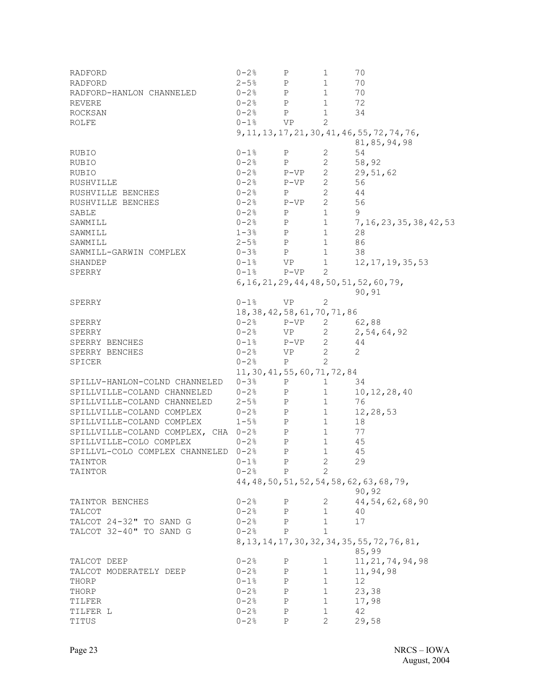| RADFORD                             | $0 - 2$ %                      | $\, {\rm P}$      | 1                      | 70                                             |
|-------------------------------------|--------------------------------|-------------------|------------------------|------------------------------------------------|
| RADFORD                             | $2 - 5$ %                      | $_{\rm P}$        | $\mathbf{1}$           | 70                                             |
| RADFORD-HANLON CHANNELED            | $0 - 2$ %                      | $\mathbb{P}$      | $\mathbf{1}$           | 70                                             |
| REVERE                              | $0 - 2$ %                      | $\mathbb{P}$      | $\mathbf{1}$           | 72                                             |
| ROCKSAN                             | $0 - 2$ % P                    |                   | 1                      | 34                                             |
| ROLFE                               | $0-1$ % VP                     |                   | 2                      |                                                |
|                                     |                                |                   |                        | 9, 11, 13, 17, 21, 30, 41, 46, 55, 72, 74, 76, |
|                                     |                                |                   |                        | 81,85,94,98                                    |
|                                     |                                |                   | 2                      | 54                                             |
| RUBIO                               | $0 - 1$ %                      | P                 |                        |                                                |
| <b>RUBIO</b>                        | $0 - 2$ %<br>$\mathbb{P}$      |                   | 2                      | 58,92                                          |
| RUBIO                               | $0 - 2$ %                      | $P-VP$ 2          |                        | 29,51,62                                       |
| RUSHVILLE                           | $0 - 2$ %                      | $P-VP$            | 2                      | 56                                             |
| RUSHVILLE BENCHES                   | $0 - 2$ %                      | $P \qquad \qquad$ | $\overline{2}$         | 44                                             |
| RUSHVILLE BENCHES                   | $0-2$ % $P-VP$ 2               |                   |                        | 56                                             |
| SABLE                               | $0-2$ % P                      |                   | 1                      | 9                                              |
| SAWMILL                             | $0 - 2$ % P                    |                   | $\mathbf{1}$           | 7, 16, 23, 35, 38, 42, 53                      |
| SAWMILL                             | $1-3$ <sup>8</sup> P           |                   | $1 \qquad \qquad$      | 28                                             |
| SAWMILL                             | $2-5%$ P                       |                   | $\mathbf{1}$           | 86                                             |
| SAWMILL-GARWIN COMPLEX              | $0 - 3$ % P                    |                   | $\mathbf{1}$           | 38                                             |
| SHANDEP                             | $0 - 1$ %                      | VP <b>V</b>       | $\mathbf{1}$           | 12, 17, 19, 35, 53                             |
| SPERRY                              | $0 - 1$ %                      | P-VP              | 2                      |                                                |
|                                     |                                |                   |                        | 6, 16, 21, 29, 44, 48, 50, 51, 52, 60, 79,     |
|                                     |                                |                   |                        | 90,91                                          |
| SPERRY                              | $0 - 1$ %                      | VP                | 2                      |                                                |
|                                     | 18, 38, 42, 58, 61, 70, 71, 86 |                   |                        |                                                |
| SPERRY                              | $0-2$ % P-VP 2 62,88           |                   |                        |                                                |
| SPERRY                              | $0-2$ % VP                     |                   |                        | 2 $2, 54, 64, 92$                              |
|                                     | $0 - 1$ %                      |                   |                        | 44                                             |
| SPERRY BENCHES                      |                                | $P-VP$ 2          |                        |                                                |
| SPERRY BENCHES                      | $0 - 2$ %                      | VP                | 2                      | 2                                              |
| SPICER                              | $0 - 2$ %                      | $\mathbb{P}$      | 2                      |                                                |
|                                     | 11, 30, 41, 55, 60, 71, 72, 84 |                   |                        |                                                |
| SPILLV-HANLON-COLND CHANNELED       | $0 - 3$ %                      | $\mathbf{P}$      | 1                      | 34                                             |
| SPILLVILLE-COLAND CHANNELED         | $0 - 2$ %                      | $\mathbf{P}$      | $\mathbf{1}$           | 10, 12, 28, 40                                 |
| SPILLVILLE-COLAND CHANNELED         | $2-5%$ P                       |                   | $\mathbf{1}$           | 76                                             |
| SPILLVILLE-COLAND COMPLEX           | $0-2$ % P                      |                   | $1 \quad \blacksquare$ | 12,28,53                                       |
| SPILLVILLE-COLAND COMPLEX           | $1-5%$ P                       |                   | $\mathbf{1}$           | 18                                             |
| SPILLVILLE-COLAND COMPLEX, CHA 0-2% |                                | $\mathbf{P}$      | $\mathbf{1}$           | 77                                             |
| SPILLVILLE-COLO COMPLEX             | $0 - 2$ %                      | $\mathbf{P}$      | $\mathbf{1}$           | 45                                             |
| SPILLVL-COLO COMPLEX CHANNELED 0-2% |                                | $\, {\bf P}$      | $\mathbf{1}$           | 45                                             |
| TAINTOR                             | $0 - 1$ %                      | P                 | $\overline{2}$         | 29                                             |
| TAINTOR                             | $0-2$ % P                      |                   | 2                      |                                                |
|                                     |                                |                   |                        | 44, 48, 50, 51, 52, 54, 58, 62, 63, 68, 79,    |
|                                     |                                |                   |                        | 90,92                                          |
| TAINTOR BENCHES                     | $0 - 2%$                       | $\mathbf{P}$      | 2                      | 44, 54, 62, 68, 90                             |
| TALCOT                              | $0 - 2$ % P                    |                   | $\mathbf{1}$           | 40                                             |
| TALCOT 24-32" TO SAND G             | $0 - 2$ %                      | P                 | 1                      | 17                                             |
| TALCOT 32-40" TO SAND G             | $0-2$ % P                      |                   | $\mathbf{1}$           |                                                |
|                                     |                                |                   |                        | 8, 13, 14, 17, 30, 32, 34, 35, 55, 72, 76, 81, |
|                                     |                                |                   |                        | 85,99                                          |
|                                     |                                |                   |                        |                                                |
| TALCOT DEEP                         | $0 - 2$ %                      | $\mathbf P$       | $\mathbf{1}$           | 11, 21, 74, 94, 98                             |
| TALCOT MODERATELY DEEP              | $0 - 2$ %                      | $\mathbb{P}$      |                        | $1 \quad 11,94,98$                             |
| THORP                               | $0-1$ % P                      |                   | $1 \quad \blacksquare$ | 12                                             |
| THORP                               | $0 - 2$ % P                    |                   | $1 \t 23,38$           |                                                |
| TILFER                              | $0 - 2$ %<br>$\mathbb P$       |                   | $1 \quad \blacksquare$ | 17,98                                          |
| TILFER L                            | $0 - 2%$                       | $\mathbf{P}$      | $\mathbf{1}$           | 42                                             |
| TITUS                               | $0 - 2$ %                      | $_{\rm P}$        | $\overline{2}$         | 29,58                                          |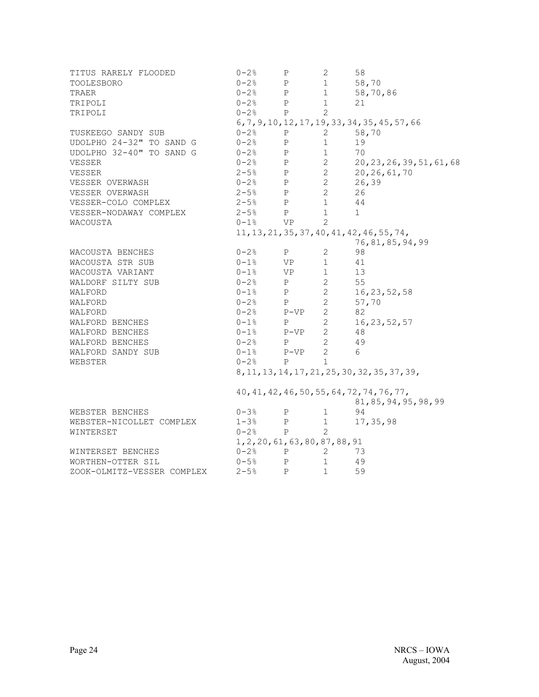| TITUS RARELY FLOODED       | $0 - 2$ %                              | Ρ            | 2                              | 58                                              |
|----------------------------|----------------------------------------|--------------|--------------------------------|-------------------------------------------------|
| <b>TOOLESBORO</b>          | $0 - 2$ %                              | P            | 1                              | 58,70                                           |
| TRAER                      | $0-2$ % P                              |              | 1                              | 58,70,86                                        |
| TRIPOLI                    | $0 - 2$ % P                            |              | 1                              | 21                                              |
| TRIPOLI                    | $0-2$ % P                              |              | 2                              |                                                 |
|                            |                                        |              |                                | 6, 7, 9, 10, 12, 17, 19, 33, 34, 35, 45, 57, 66 |
| TUSKEEGO SANDY SUB         | $0-2$ <sup>8</sup> P                   |              | $\mathbf{2}$                   | 58,70                                           |
| UDOLPHO 24-32" TO SAND G   | $0 - 2$ %                              | P            | 1                              | 19                                              |
| UDOLPHO 32-40" TO SAND G   | $0-2$ % P                              |              | 1                              | 70                                              |
| VESSER                     | $0-2$ % P 2                            |              |                                | 20, 23, 26, 39, 51, 61, 68                      |
| VESSER                     | $2 - 5$ <sup>8</sup> P                 |              | $2 \left( \frac{1}{2} \right)$ | 20, 26, 61, 70                                  |
| VESSER OVERWASH            | $0-2\frac{6}{6}$ P                     |              | $\overline{2}$                 | 26, 39                                          |
| VESSER OVERWASH            | $2-5%$ P<br>2-5% P                     |              | $2^{\circ}$                    | 26                                              |
| VESSER-COLO COMPLEX        |                                        |              | 1                              | 44                                              |
| VESSER-NODAWAY COMPLEX     | $2-5%$ P                               |              | 1                              | $\mathbf{1}$                                    |
| WACOUSTA                   | $0-1$ % VP                             |              | $\mathbf{2}^{\prime}$          |                                                 |
|                            |                                        |              |                                | 11, 13, 21, 35, 37, 40, 41, 42, 46, 55, 74,     |
|                            |                                        |              |                                | 76, 81, 85, 94, 99                              |
| WACOUSTA BENCHES           | $0 - 2$ % P                            |              | $\overline{2}$                 | 98                                              |
| WACOUSTA STR SUB           | $0-1$ % VP                             |              | $\mathbf{1}$                   | 41                                              |
| WACOUSTA VARIANT           | $0-1$ % VP                             |              | $1 \qquad \qquad$              | 13                                              |
| WALDORF SILTY SUB          | $0 - 2$ % P                            |              | $2 \overline{2}$               | 55                                              |
| WALFORD                    | $0-1$ % P                              |              | $\overline{2}$                 | 16, 23, 52, 58                                  |
| WALFORD                    |                                        |              | $2\overline{ }$                | 57,70                                           |
| WALFORD                    | $0-2$ % P<br>$0-2$ % P-VP<br>$0-1$ % P |              | $\overline{2}$                 | 82                                              |
| WALFORD BENCHES            |                                        |              | $\overline{2}$                 | 16, 23, 52, 57                                  |
| WALFORD BENCHES            | $0-1$ % $P-VP$ 2                       |              |                                | 48                                              |
| WALFORD BENCHES            | $0 - 2$ % P                            |              | $2 \left( \frac{1}{2} \right)$ | 49                                              |
| WALFORD SANDY SUB          | $0-1$ % $P-VP$                         |              | $\overline{2}$                 | 6                                               |
| WEBSTER                    | $0-2$ % P                              |              | $\mathbf{1}$                   |                                                 |
|                            |                                        |              |                                | 8, 11, 13, 14, 17, 21, 25, 30, 32, 35, 37, 39,  |
|                            |                                        |              |                                |                                                 |
|                            |                                        |              |                                | 40, 41, 42, 46, 50, 55, 64, 72, 74, 76, 77,     |
|                            |                                        |              |                                | 81,85,94,95,98,99                               |
| WEBSTER BENCHES            | $0 - 3$ %                              | P            | $\mathbf{1}$                   | 94                                              |
| WEBSTER-NICOLLET COMPLEX   | $1 - 3%$                               | P            | 1                              | 17, 35, 98                                      |
| WINTERSET                  | $0 - 2$ %                              | $\mathbf{P}$ | $\overline{2}$                 |                                                 |
|                            | 1, 2, 20, 61, 63, 80, 87, 88, 91       |              |                                |                                                 |
| WINTERSET BENCHES          | $0 - 2$ %                              | $\mathbf{P}$ | 2                              | 73                                              |
| WORTHEN-OTTER SIL          | $0 - 5$ %                              | P            | $\mathbf{1}$                   | 49                                              |
| ZOOK-OLMITZ-VESSER COMPLEX | $2 - 5$ <sup>8</sup>                   | $\mathbf{P}$ | $\mathbf{1}$                   | 59                                              |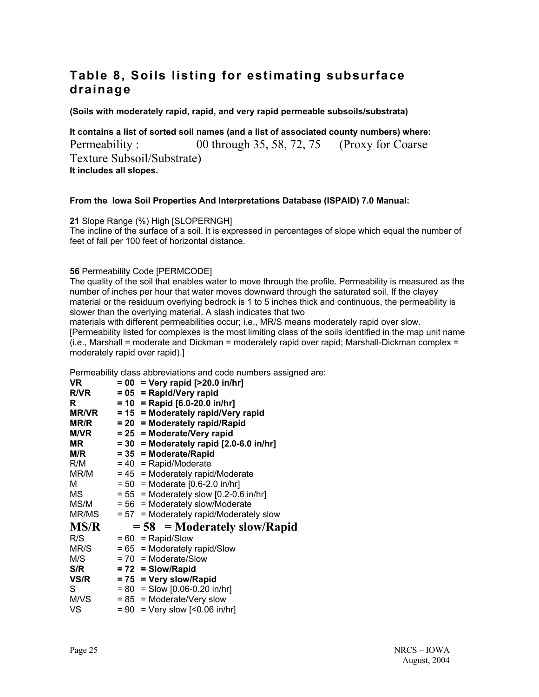## **Table 8, Soils listing for estimating subsurface drainage**

**(Soils with moderately rapid, rapid, and very rapid permeable subsoils/substrata)**

**It contains a list of sorted soil names (and a list of associated county numbers) where:**  Permeability : 00 through 35, 58, 72, 75 (Proxy for Coarse Texture Subsoil/Substrate) **It includes all slopes.** 

#### **From the Iowa Soil Properties And Interpretations Database (ISPAID) 7.0 Manual:**

**21** Slope Range (%) High [SLOPERNGH] The incline of the surface of a soil. It is expressed in percentages of slope which equal the number of feet of fall per 100 feet of horizontal distance.

#### **56** Permeability Code [PERMCODE]

The quality of the soil that enables water to move through the profile. Permeability is measured as the number of inches per hour that water moves downward through the saturated soil. If the clayey material or the residuum overlying bedrock is 1 to 5 inches thick and continuous, the permeability is slower than the overlying material. A slash indicates that two

materials with different permeabilities occur; i.e., MR/S means moderately rapid over slow. [Permeability listed for complexes is the most limiting class of the soils identified in the map unit name (i.e., Marshall = moderate and Dickman = moderately rapid over rapid; Marshall-Dickman complex = moderately rapid over rapid).]

Permeability class abbreviations and code numbers assigned are:

| VR          | $= 00$ = Very rapid [>20.0 in/hr]                          |
|-------------|------------------------------------------------------------|
| <b>R/VR</b> | $= 05$ = Rapid/Very rapid                                  |
| R           | $= 10$ = Rapid [6.0-20.0 in/hr]                            |
|             | $MR/VR$ = 15 = Moderately rapid/Very rapid                 |
| MR/R        | = 20 = Moderately rapid/Rapid                              |
| M/VR        | $= 25$ = Moderate/Very rapid                               |
| MR.         | $= 30$ = Moderately rapid [2.0-6.0 in/hr]                  |
|             | $M/R$ = 35 = Moderate/Rapid                                |
|             | $R/M = 40 = \text{Rapid/Moderate}$                         |
|             | $MR/M = 45$ = Moderately rapid/Moderate                    |
| м           | $= 50$ = Moderate $[0.6 - 2.0 \text{ in/hr}]$              |
| MS          | $= 55$ = Moderately slow [0.2-0.6 in/hr]                   |
|             | $MS/M = 56$ = Moderately slow/Moderate                     |
|             | $MR/MS = 57 = Moderned$ = Moderately rapid/Moderately slow |
| MS/R        | $= 58$ = Moderately slow/Rapid                             |
| R/S         | $= 60$ = Rapid/Slow                                        |
| MR/S        | $= 65$ = Moderately rapid/Slow                             |
| M/S         | $= 70$ = Moderate/Slow                                     |
| S/R         | $= 72$ = Slow/Rapid                                        |
|             | $VS/R$ = 75 = Very slow/Rapid                              |
| S           | $= 80$ = Slow [0.06-0.20 in/hr]                            |
|             | $M/VS = 85$ = Moderate/Very slow                           |
| VS          | $= 90$ = Very slow [<0.06 in/hr]                           |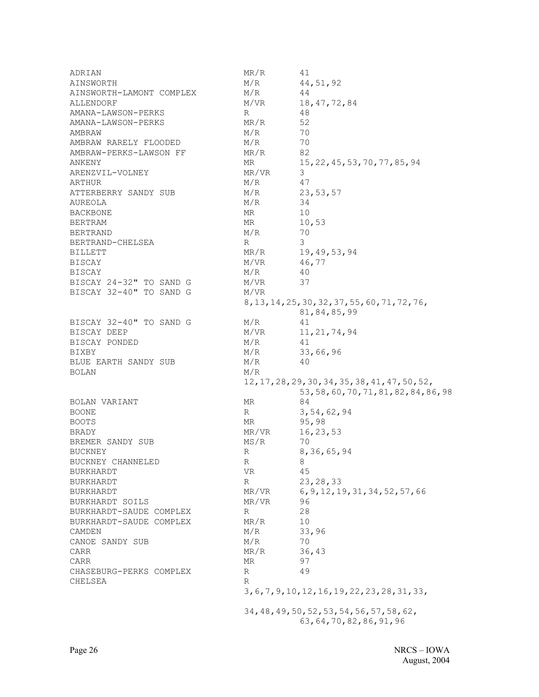| ADRIAN                   | MR/R      | 41                                              |
|--------------------------|-----------|-------------------------------------------------|
| AINSWORTH                | M/R       | 44, 51, 92                                      |
| AINSWORTH-LAMONT COMPLEX | M/R       | 44                                              |
| ALLENDORF                | M/VR      | 18, 47, 72, 84                                  |
| AMANA-LAWSON-PERKS       | R         | 48                                              |
| AMANA-LAWSON-PERKS       | MR/R      | 52                                              |
| AMBRAW                   | M/R       | 70                                              |
| AMBRAW RARELY FLOODED    | M/R       | 70                                              |
| AMBRAW-PERKS-LAWSON FF   | MR/R      | 82                                              |
| ANKENY                   | ΜR        | 15, 22, 45, 53, 70, 77, 85, 94                  |
| ARENZVIL-VOLNEY          | MR/VR     | 3                                               |
| ARTHUR                   | M/R       | 47                                              |
| ATTERBERRY SANDY SUB     | M/R       | 23,53,57                                        |
| AUREOLA                  | M/R       | 34                                              |
| BACKBONE                 | ΜR        | 10                                              |
|                          |           |                                                 |
| <b>BERTRAM</b>           | MR<br>M/R | 10,53<br>70                                     |
| <b>BERTRAND</b>          |           | 3                                               |
| BERTRAND-CHELSEA         | R         |                                                 |
| <b>BILLETT</b>           | MR/R      | 19,49,53,94                                     |
| <b>BISCAY</b>            | M/VR      | 46,77                                           |
| <b>BISCAY</b>            | M/R       | 40                                              |
| BISCAY 24-32" TO SAND G  | M/VR      | 37                                              |
| BISCAY 32-40" TO SAND G  | M/VR      |                                                 |
|                          |           | 8, 13, 14, 25, 30, 32, 37, 55, 60, 71, 72, 76,  |
|                          |           | 81,84,85,99                                     |
| BISCAY 32-40" TO SAND G  | M/R       | 41                                              |
| BISCAY DEEP              | M/VR      | 11, 21, 74, 94                                  |
| BISCAY PONDED            | M/R       | 41                                              |
| BIXBY                    | M/R       | 33,66,96                                        |
| BLUE EARTH SANDY SUB     | M/R       | 40                                              |
| <b>BOLAN</b>             | M/R       |                                                 |
|                          |           | 12, 17, 28, 29, 30, 34, 35, 38, 41, 47, 50, 52, |
|                          |           | 53, 58, 60, 70, 71, 81, 82, 84, 86, 98          |
| BOLAN VARIANT            | MR        | 84                                              |
| <b>BOONE</b>             | R         | 3,54,62,94                                      |
| <b>BOOTS</b>             | MR        | 95,98                                           |
| <b>BRADY</b>             | MR/VR     | 16, 23, 53                                      |
| BREMER SANDY SUB         | MS/R      | 70                                              |
| <b>BUCKNEY</b>           | R         | 8, 36, 65, 94                                   |
| BUCKNEY CHANNELED        | R         | 8                                               |
| <b>BURKHARDT</b>         | VR        | 45                                              |
| <b>BURKHARDT</b>         | R         | 23, 28, 33                                      |
| BURKHARDT                | MR/VR     | 6, 9, 12, 19, 31, 34, 52, 57, 66                |
| BURKHARDT SOILS          | MR/VR     | 96                                              |
| BURKHARDT-SAUDE COMPLEX  | R         | 28                                              |
| BURKHARDT-SAUDE COMPLEX  | MR/R      | 10                                              |
| CAMDEN                   | M/R       | 33,96                                           |
| CANOE SANDY SUB          | M/R       | 70                                              |
| CARR                     | MR/R      | 36,43                                           |
| CARR                     | ΜR        | 97                                              |
| CHASEBURG-PERKS COMPLEX  | R         | 49                                              |
| CHELSEA                  | R         |                                                 |
|                          |           | 3, 6, 7, 9, 10, 12, 16, 19, 22, 23, 28, 31, 33, |
|                          |           |                                                 |
|                          |           | 34, 48, 49, 50, 52, 53, 54, 56, 57, 58, 62,     |
|                          |           | 63, 64, 70, 82, 86, 91, 96                      |
|                          |           |                                                 |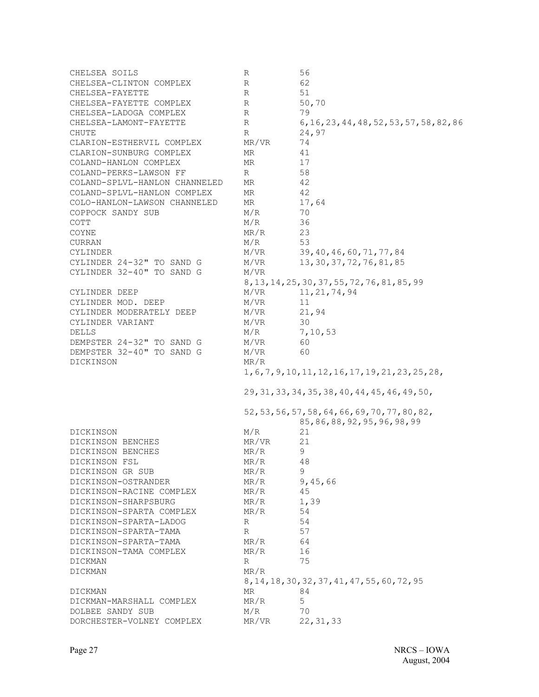| CHELSEA SOILS                 | R         | 56                                                  |
|-------------------------------|-----------|-----------------------------------------------------|
| CHELSEA-CLINTON COMPLEX       | R         | 62                                                  |
| CHELSEA-FAYETTE               | R         | 51                                                  |
| CHELSEA-FAYETTE COMPLEX       | R         | 50,70                                               |
| CHELSEA-LADOGA COMPLEX        | R         | 79                                                  |
| CHELSEA-LAMONT-FAYETTE        | R         | 6, 16, 23, 44, 48, 52, 53, 57, 58, 82, 86           |
| CHUTE                         | R         | 24,97                                               |
| CLARION-ESTHERVIL COMPLEX     | MR/VR     | 74                                                  |
| CLARION-SUNBURG COMPLEX       | <b>MR</b> | 41                                                  |
| COLAND-HANLON COMPLEX         | MR.       | 17                                                  |
| COLAND-PERKS-LAWSON FF        | R         | 58                                                  |
| COLAND-SPLVL-HANLON CHANNELED | MR.       | 42                                                  |
| COLAND-SPLVL-HANLON COMPLEX   | MR.       | 42                                                  |
| COLO-HANLON-LAWSON CHANNELED  | MR.       | 17,64                                               |
| COPPOCK SANDY SUB             | M/R       | 70                                                  |
| COTT                          | M/R       | 36                                                  |
| COYNE                         | MR/R      | 23                                                  |
| <b>CURRAN</b>                 | M/R       | 53                                                  |
| CYLINDER                      | M/VR      | 39, 40, 46, 60, 71, 77, 84                          |
| CYLINDER 24-32" TO SAND G     | M/VR      | 13, 30, 37, 72, 76, 81, 85                          |
| CYLINDER 32-40" TO SAND G     | M/VR      |                                                     |
|                               |           |                                                     |
|                               |           | 8, 13, 14, 25, 30, 37, 55, 72, 76, 81, 85, 99       |
| CYLINDER DEEP                 | M/VR      | 11, 21, 74, 94                                      |
| CYLINDER MOD. DEEP            | M/VR      | 11                                                  |
| CYLINDER MODERATELY DEEP      | M/VR      | 21,94                                               |
| CYLINDER VARIANT              | M/VR      | 30                                                  |
| DELLS                         | M/R       | 7,10,53                                             |
| DEMPSTER 24-32" TO SAND G     | M/VR      | 60                                                  |
| DEMPSTER 32-40" TO SAND G     | M/VR      | 60                                                  |
| DICKINSON                     | MR/R      |                                                     |
|                               |           | 1, 6, 7, 9, 10, 11, 12, 16, 17, 19, 21, 23, 25, 28, |
|                               |           | 29, 31, 33, 34, 35, 38, 40, 44, 45, 46, 49, 50,     |
|                               |           |                                                     |
|                               |           | 52, 53, 56, 57, 58, 64, 66, 69, 70, 77, 80, 82,     |
|                               |           | 85, 86, 88, 92, 95, 96, 98, 99                      |
| DICKINSON                     | M/R       | 21                                                  |
| DICKINSON BENCHES             | MR/VR     | 21                                                  |
| DICKINSON BENCHES             | MR/R      | 9                                                   |
| DICKINSON FSL                 | MR/R      | 48                                                  |
| DICKINSON GR SUB              | MR/R      | 9                                                   |
| DICKINSON-OSTRANDER           | MR/R      | 9,45,66                                             |
| DICKINSON-RACINE COMPLEX      | MR/R      | 45                                                  |
| DICKINSON-SHARPSBURG          | MR/R      | 1,39                                                |
| DICKINSON-SPARTA COMPLEX      | MR/R      | 54                                                  |
| DICKINSON-SPARTA-LADOG        | R         | 54                                                  |
| DICKINSON-SPARTA-TAMA         | R         | 57                                                  |
| DICKINSON-SPARTA-TAMA         | MR/R      | 64                                                  |
| DICKINSON-TAMA COMPLEX        | MR/R      | 16                                                  |
| DICKMAN                       | R         | 75                                                  |
| DICKMAN                       | MR/R      |                                                     |
|                               |           | 8, 14, 18, 30, 32, 37, 41, 47, 55, 60, 72, 95       |
| DICKMAN                       | MR.       | 84                                                  |
| DICKMAN-MARSHALL COMPLEX      | MR/R      | 5                                                   |
| DOLBEE SANDY SUB              | M/R       | 70                                                  |
| DORCHESTER-VOLNEY COMPLEX     | MR/VR     | 22, 31, 33                                          |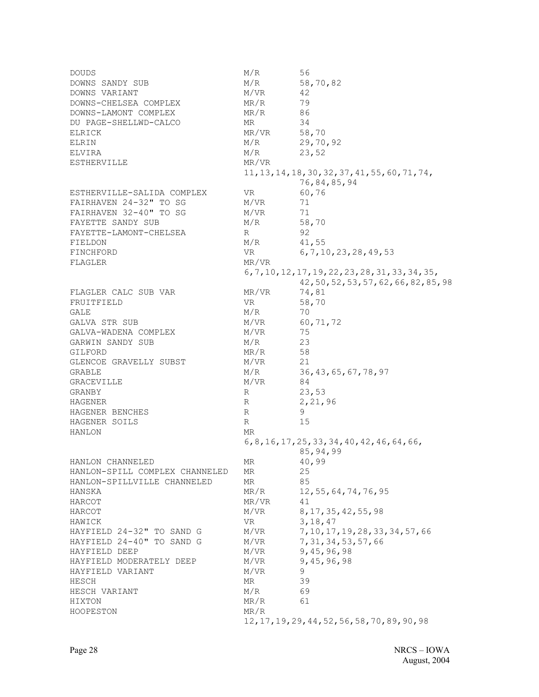DOUDS M/R 56 DOWNS SANDY SUB M/R 58,70,82 DOWNS VARIANT M/VR 42 DOWNS-CHELSEA COMPLEX MR/R 79 DOWNS-LAMONT COMPLEX MR/R 86 DU PAGE-SHELLWD-CALCO MR 34 ELRICK MR/VR 58,70 ELRIN M/R 29,70,92  $ELVIRA$   $M/R$  23,52 ESTHERVILLE MR/VR 11,13,14,18,30,32,37,41,55,60,71,74, 76,84,85,94 ESTHERVILLE-SALIDA COMPLEX VR 60,76 FAIRHAVEN 24-32" TO SG M/VR 71<br>FAIRHAVEN 32-40" TO SG M/VR 71 FAIRHAVEN 32-40" TO SG M/VR FAYETTE SANDY SUB M/R 58,70 FAYETTE-LAMONT-CHELSEA R R 92 FIELDON M/R 41,55 FINCHFORD VR 6,7,10,23,28,49,53 FLAGLER MR/VR 6,7,10,12,17,19,22,23,28,31,33,34,35, 42,50,52,53,57,62,66,82,85,98 FLAGLER CALC SUB VAR MR/VR 74,81<br>FRUITFIELD VR 58,70 FRUITFIELD VR  $\text{GALE}$   $\text{M/R}$  70 GALVA STR SUB  $M/VR$  60,71,72 GALVA-WADENA COMPLEX M/VR 75 GARWIN SANDY SUB M/R 23 GILFORD MR/R 58 GLENCOE GRAVELLY SUBST M/VR 21 GRABLE M/R 36,43,65,67,78,97 GRACEVILLE M/VR 84 GRANBY R 23,53<br>
HAGENER R 2,21, R 2,21,96 HAGENER BENCHES R R 9 HAGENER SOILS R 15 HANLON MR 6,8,16,17,25,33,34,40,42,46,64,66, 85,94,99 HANLON CHANNELED MR 40,99 HANLON-SPILL COMPLEX CHANNELED MR 25 HANLON-SPILLVILLE CHANNELED MR 85 HANSKA MR/R 12,55,64,74,76,95 HARCOT MR/VR 41 HARCOT M/VR 8, 17, 35, 42, 55, 98 HAWICK VR 3,18,47 HAYFIELD 24-32" TO SAND G M/VR 7,10,17,19,28,33,34,57,66 HAYFIELD 24-40" TO SAND G M/VR 7, 31, 34, 53, 57, 66 HAYFIELD DEEP M/VR 9,45,96,98 HAYFIELD MODERATELY DEEP M/VR 9,45,96,98 HAYFIELD VARIANT M/VR 9 HESCH MR 39 HESCH VARIANT M/R 69 HIXTON MR/R 61 HOOPESTON MR/R 12,17,19,29,44,52,56,58,70,89,90,98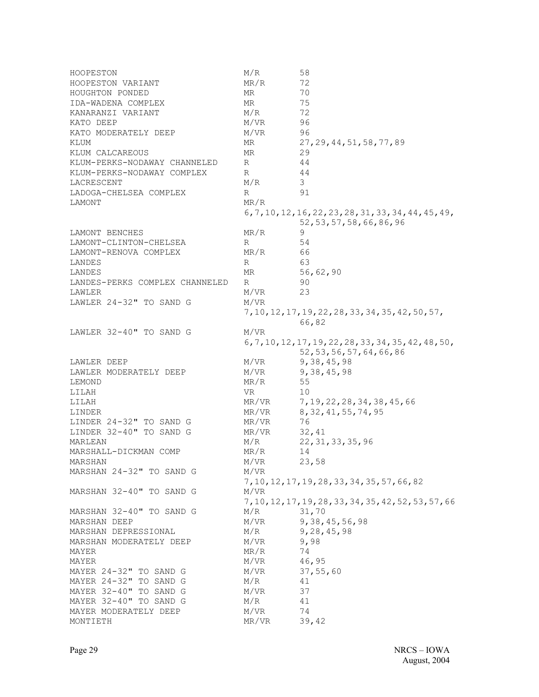| HOOPESTON                      | M/R   | 58                                                      |
|--------------------------------|-------|---------------------------------------------------------|
| HOOPESTON VARIANT              | MR/R  | 72                                                      |
| HOUGHTON PONDED                | ΜR    | 70                                                      |
| IDA-WADENA COMPLEX             | MR.   | 75                                                      |
| KANARANZI VARIANT              | M/R   | 72                                                      |
| KATO DEEP                      | M/VR  | 96                                                      |
| KATO MODERATELY DEEP           | M/VR  | 96                                                      |
| KLUM                           | ΜR    | 27, 29, 44, 51, 58, 77, 89                              |
| KLUM CALCAREOUS                | MR    | 29                                                      |
| KLUM-PERKS-NODAWAY CHANNELED   | R     | 44                                                      |
|                                | R     | 44                                                      |
| KLUM-PERKS-NODAWAY COMPLEX     |       | 3                                                       |
| LACRESCENT                     | M/R   |                                                         |
| LADOGA-CHELSEA COMPLEX         | R     | 91                                                      |
| LAMONT                         | MR/R  |                                                         |
|                                |       | $6, 7, 10, 12, 16, 22, 23, 28, 31, 33, 34, 44, 45, 49,$ |
|                                |       | 52, 53, 57, 58, 66, 86, 96                              |
| LAMONT BENCHES                 | MR/R  | 9                                                       |
| LAMONT-CLINTON-CHELSEA         | R     | 54                                                      |
| LAMONT-RENOVA COMPLEX          | MR/R  | 66                                                      |
| LANDES                         | R     | 63                                                      |
| LANDES                         | MR    | 56,62,90                                                |
| LANDES-PERKS COMPLEX CHANNELED | R     | -90                                                     |
| LAWLER                         | M/VR  | 23                                                      |
| LAWLER 24-32" TO SAND G        | M/VR  |                                                         |
|                                |       | 7, 10, 12, 17, 19, 22, 28, 33, 34, 35, 42, 50, 57,      |
|                                |       | 66,82                                                   |
| LAWLER 32-40" TO SAND G        | M/VR  |                                                         |
|                                |       | 6, 7, 10, 12, 17, 19, 22, 28, 33, 34, 35, 42, 48, 50,   |
|                                |       | 52, 53, 56, 57, 64, 66, 86                              |
|                                |       |                                                         |
| LAWLER DEEP                    | M/VR  | 9,38,45,98                                              |
| LAWLER MODERATELY DEEP         | M/VR  | 9, 38, 45, 98                                           |
| LEMOND                         | MR/R  | 55                                                      |
| LILAH                          | VR    | 10                                                      |
| LILAH                          | MR/VR | 7, 19, 22, 28, 34, 38, 45, 66                           |
| LINDER                         | MR/VR | 8, 32, 41, 55, 74, 95                                   |
| LINDER 24-32" TO SAND G        | MR/VR | 76                                                      |
| LINDER 32-40" TO SAND G        | MR/VR | 32,41                                                   |
| MARLEAN                        | M/R   | 22, 31, 33, 35, 96                                      |
| MARSHALL-DICKMAN COMP          | MR/R  | 14                                                      |
| MARSHAN                        | M/VR  | 23,58                                                   |
| MARSHAN 24-32" TO SAND G       | M/VR  |                                                         |
|                                |       | 7, 10, 12, 17, 19, 28, 33, 34, 35, 57, 66, 82           |
| MARSHAN 32-40" TO SAND G       | M/VR  |                                                         |
|                                |       | 7, 10, 12, 17, 19, 28, 33, 34, 35, 42, 52, 53, 57, 66   |
| MARSHAN 32-40" TO SAND G       | M/R   | 31,70                                                   |
| MARSHAN DEEP                   | M/VR  | 9, 38, 45, 56, 98                                       |
| MARSHAN DEPRESSIONAL           | M/R   | 9,28,45,98                                              |
| MARSHAN MODERATELY DEEP        | M/VR  | 9,98                                                    |
| MAYER                          | MR/R  | 74                                                      |
| MAYER                          | M/VR  | 46,95                                                   |
|                                |       | 37,55,60                                                |
| MAYER 24-32" TO SAND G         | M/VR  |                                                         |
| MAYER 24-32" TO SAND G         | M/R   | 41                                                      |
| MAYER 32-40" TO SAND G         | M/VR  | 37                                                      |
| MAYER 32-40" TO SAND G         | M/R   | 41                                                      |
| MAYER MODERATELY DEEP          | M/VR  | 74                                                      |
| MONTIETH                       | MR/VR | 39,42                                                   |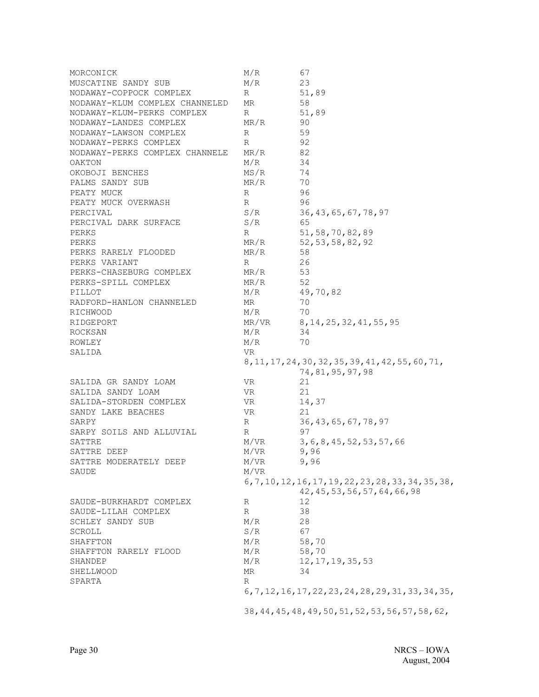| MORCONICK                      | M/R   | 67                                                    |
|--------------------------------|-------|-------------------------------------------------------|
| MUSCATINE SANDY SUB            | M/R   | 23                                                    |
| NODAWAY-COPPOCK COMPLEX        | R     | 51,89                                                 |
| NODAWAY-KLUM COMPLEX CHANNELED | MR    | 58                                                    |
| NODAWAY-KLUM-PERKS COMPLEX     | R     | 51,89                                                 |
| NODAWAY-LANDES COMPLEX         | MR/R  | 90                                                    |
| NODAWAY-LAWSON COMPLEX         | R     | 59                                                    |
|                                |       | 92                                                    |
| NODAWAY-PERKS COMPLEX          | R     |                                                       |
| NODAWAY-PERKS COMPLEX CHANNELE | MR/R  | 82                                                    |
| OAKTON                         | M/R   | 34                                                    |
| OKOBOJI BENCHES                | MS/R  | 74                                                    |
| PALMS SANDY SUB                | MR/R  | 70                                                    |
| PEATY MUCK                     | R     | 96                                                    |
| PEATY MUCK OVERWASH            | R     | 96                                                    |
| PERCIVAL                       | S/R   | 36, 43, 65, 67, 78, 97                                |
| PERCIVAL DARK SURFACE          | S/R   | 65                                                    |
| PERKS                          | R     | 51, 58, 70, 82, 89                                    |
| PERKS                          | MR/R  | 52, 53, 58, 82, 92                                    |
| PERKS RARELY FLOODED           | MR/R  | 58                                                    |
| PERKS VARIANT                  | R     | 26                                                    |
| PERKS-CHASEBURG COMPLEX        | MR/R  | 53                                                    |
| PERKS-SPILL COMPLEX            | MR/R  | 52                                                    |
| PILLOT                         | M/R   | 49,70,82                                              |
|                                |       |                                                       |
| RADFORD-HANLON CHANNELED       | MR    | 70                                                    |
| RICHWOOD                       | M/R   | 70                                                    |
| RIDGEPORT                      | MR/VR | 8, 14, 25, 32, 41, 55, 95                             |
| ROCKSAN                        | M/R   | 34                                                    |
| ROWLEY                         | M/R   | 70                                                    |
| SALIDA                         | VR.   |                                                       |
|                                |       | 8, 11, 17, 24, 30, 32, 35, 39, 41, 42, 55, 60, 71,    |
|                                |       | 74, 81, 95, 97, 98                                    |
| SALIDA GR SANDY LOAM           | VR.   | 21                                                    |
| SALIDA SANDY LOAM              | VR.   | 21                                                    |
| SALIDA-STORDEN COMPLEX         | VR    | 14,37                                                 |
| SANDY LAKE BEACHES             | VR    | 21                                                    |
| SARPY                          | R     | 36, 43, 65, 67, 78, 97                                |
| SARPY SOILS AND ALLUVIAL       | R     | 97                                                    |
| SATTRE                         | M/VR  | 3, 6, 8, 45, 52, 53, 57, 66                           |
| SATTRE DEEP                    | M/VR  | 9,96                                                  |
|                                |       |                                                       |
| SATTRE MODERATELY DEEP         | M/VR  | 9,96                                                  |
| SAUDE                          | M/VR  |                                                       |
|                                |       | 6, 7, 10, 12, 16, 17, 19, 22, 23, 28, 33, 34, 35, 38, |
|                                |       | 42, 45, 53, 56, 57, 64, 66, 98                        |
| SAUDE-BURKHARDT COMPLEX        | R     | 12                                                    |
| SAUDE-LILAH COMPLEX            | R     | 38                                                    |
| SCHLEY SANDY SUB               | M/R   | 28                                                    |
| SCROLL                         | S/R   | 67                                                    |
| SHAFFTON                       | M/R   | 58,70                                                 |
| SHAFFTON RARELY FLOOD          | M/R   | 58,70                                                 |
| SHANDEP                        | M/R   | 12, 17, 19, 35, 53                                    |
| SHELLWOOD                      | MR    | 34                                                    |
| SPARTA                         | R     |                                                       |
|                                |       | 6, 7, 12, 16, 17, 22, 23, 24, 28, 29, 31, 33, 34, 35, |
|                                |       | 38, 44, 45, 48, 49, 50, 51, 52, 53, 56, 57, 58, 62,   |
|                                |       |                                                       |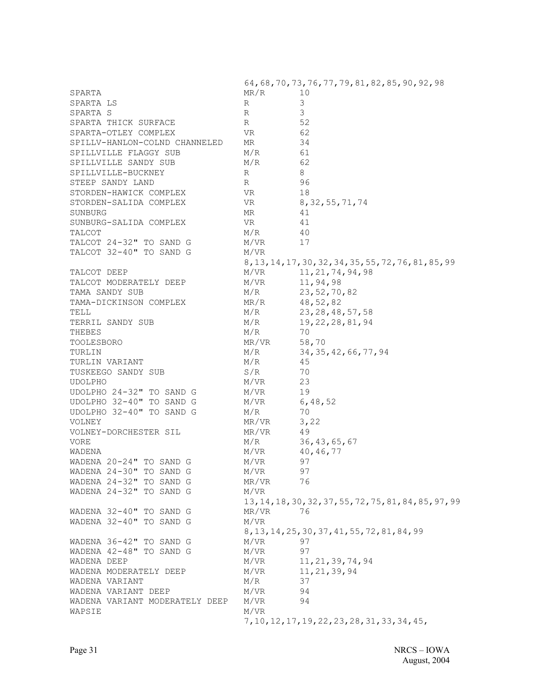64,68,70,73,76,77,79,81,82,85,90,92,98 SPARTA 10 SPARTA LS R 3 SPARTA S R 3 SPARTA THICK SURFACE  $R = 52$ SPARTA-OTLEY COMPLEX VR 62 SPILLV-HANLON-COLND CHANNELED MR 34 SPILLVILLE FLAGGY SUB M/R 61 SPILLVILLE SANDY SUB M/R 62 SPILLVILLE-BUCKNEY R R 8 STEEP SANDY LAND R R 96 STORDEN-HAWICK COMPLEX VR VR 18 STORDEN-SALIDA COMPLEX VR 8,32,55,71,74 SUNBURG MR 41 SUNBURG-SALIDA COMPLEX VR VR 41 TALCOT M/R 40 TALCOT 24-32" TO SAND G M/VR 17 TALCOT 32-40" TO SAND G M/VR 8,13,14,17,30,32,34,35,55,72,76,81,85,99 TALCOT DEEP M/VR 11,21,74,94,98 TALCOT MODERATELY DEEP M/VR 11,94,98 TAMA SANDY SUB M/R 23,52,70,82 TAMA-DICKINSON COMPLEX MR/R 48,52,82 TELL M/R 23,28,48,57,58 TERRIL SANDY SUB M/R 19, 22, 28, 81, 94 THEBES M/R 70 TOOLESBORO MR/VR 58,70 TURLIN M/R 34, 35, 42, 66, 77, 94 TURLIN VARIANT M/R  $M/R$  45 TUSKEEGO SANDY SUB S/R 30 UDOLPHO M/VR 23 UDOLPHO 24-32" TO SAND G M/VR 19 UDOLPHO 32-40" TO SAND G M/VR 6,48,52 UDOLPHO 32-40" TO SAND G M/R 70 VOLNEY MR/VR 3,22 VOLNEY-DORCHESTER SIL MR/VR 49 VORE M/R 36,43,65,67 WADENA  $M/VR$  40,46,77 WADENA  $20-24$ " TO SAND G M/VR 97 WADENA 24-30" TO SAND G M/VR 97 WADENA 24-32" TO SAND G MR/VR 76 WADENA 24-32" TO SAND G M/VR 13,14,18,30,32,37,55,72,75,81,84,85,97,99 WADENA 32-40" TO SAND G MR/VR 76 WADENA 32-40" TO SAND G M/VR 8,13,14,25,30,37,41,55,72,81,84,99 WADENA 36-42" TO SAND G M/VR 97 WADENA 42-48" TO SAND G M/VR 97 WADENA DEEP M/VR 11,21,39,74,94 WADENA MODERATELY DEEP M/VR 11,21,39,94 WADENA VARIANT M/R 37 WADENA VARIANT DEEP M/VR 94 WADENA VARIANT MODERATELY DEEP M/VR 94 WAPSIE M/VR 7,10,12,17,19,22,23,28,31,33,34,45,